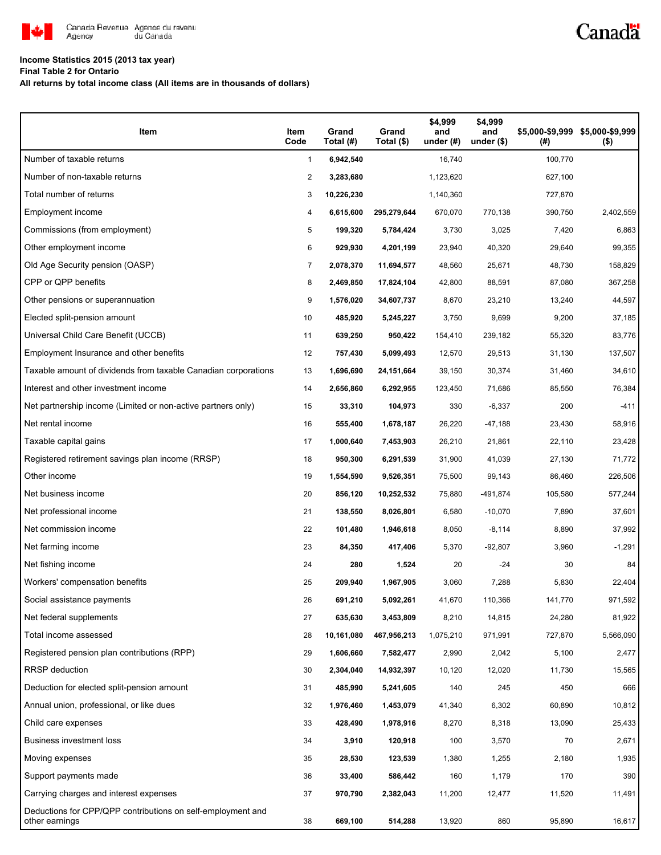

## **Income Statistics 2015 (2013 tax year)**

**Final Table 2 for Ontario**

**All returns by total income class (All items are in thousands of dollars)**

| Item                                                                          | Item<br>Code | Grand<br>Total (#) | Grand<br>Total (\$) | \$4,999<br>and<br>under $(H)$ | \$4,999<br>and<br>under $($)$ | (#)     | \$5,000-\$9,999 \$5,000-\$9,999<br>$($ \$) |
|-------------------------------------------------------------------------------|--------------|--------------------|---------------------|-------------------------------|-------------------------------|---------|--------------------------------------------|
| Number of taxable returns                                                     | $\mathbf{1}$ | 6,942,540          |                     | 16,740                        |                               | 100,770 |                                            |
| Number of non-taxable returns                                                 | 2            | 3,283,680          |                     | 1,123,620                     |                               | 627,100 |                                            |
| Total number of returns                                                       | 3            | 10,226,230         |                     | 1,140,360                     |                               | 727,870 |                                            |
| Employment income                                                             | 4            | 6,615,600          | 295,279,644         | 670,070                       | 770,138                       | 390,750 | 2,402,559                                  |
| Commissions (from employment)                                                 | 5            | 199,320            | 5,784,424           | 3,730                         | 3,025                         | 7,420   | 6,863                                      |
| Other employment income                                                       | 6            | 929,930            | 4,201,199           | 23,940                        | 40,320                        | 29,640  | 99,355                                     |
| Old Age Security pension (OASP)                                               | 7            | 2,078,370          | 11,694,577          | 48,560                        | 25,671                        | 48,730  | 158,829                                    |
| CPP or QPP benefits                                                           | 8            | 2,469,850          | 17,824,104          | 42,800                        | 88,591                        | 87,080  | 367,258                                    |
| Other pensions or superannuation                                              | 9            | 1,576,020          | 34,607,737          | 8,670                         | 23,210                        | 13,240  | 44,597                                     |
| Elected split-pension amount                                                  | 10           | 485,920            | 5,245,227           | 3,750                         | 9,699                         | 9,200   | 37,185                                     |
| Universal Child Care Benefit (UCCB)                                           | 11           | 639,250            | 950,422             | 154,410                       | 239,182                       | 55,320  | 83,776                                     |
| Employment Insurance and other benefits                                       | 12           | 757,430            | 5,099,493           | 12,570                        | 29,513                        | 31,130  | 137,507                                    |
| Taxable amount of dividends from taxable Canadian corporations                | 13           | 1,696,690          | 24,151,664          | 39,150                        | 30,374                        | 31,460  | 34,610                                     |
| Interest and other investment income                                          | 14           | 2,656,860          | 6,292,955           | 123,450                       | 71,686                        | 85,550  | 76,384                                     |
| Net partnership income (Limited or non-active partners only)                  | 15           | 33,310             | 104,973             | 330                           | $-6,337$                      | 200     | $-411$                                     |
| Net rental income                                                             | 16           | 555,400            | 1,678,187           | 26,220                        | $-47,188$                     | 23,430  | 58,916                                     |
| Taxable capital gains                                                         | 17           | 1,000,640          | 7,453,903           | 26,210                        | 21,861                        | 22,110  | 23,428                                     |
| Registered retirement savings plan income (RRSP)                              | 18           | 950,300            | 6,291,539           | 31,900                        | 41,039                        | 27,130  | 71,772                                     |
| Other income                                                                  | 19           | 1,554,590          | 9,526,351           | 75,500                        | 99,143                        | 86,460  | 226,506                                    |
| Net business income                                                           | 20           | 856,120            | 10,252,532          | 75,880                        | -491,874                      | 105,580 | 577,244                                    |
| Net professional income                                                       | 21           | 138,550            | 8,026,801           | 6,580                         | $-10,070$                     | 7,890   | 37,601                                     |
| Net commission income                                                         | 22           | 101,480            | 1,946,618           | 8,050                         | $-8,114$                      | 8,890   | 37,992                                     |
| Net farming income                                                            | 23           | 84,350             | 417,406             | 5,370                         | $-92,807$                     | 3,960   | $-1,291$                                   |
| Net fishing income                                                            | 24           | 280                | 1,524               | 20                            | $-24$                         | 30      | 84                                         |
| Workers' compensation benefits                                                | 25           | 209,940            | 1,967,905           | 3,060                         | 7,288                         | 5,830   | 22,404                                     |
| Social assistance payments                                                    | 26           | 691,210            | 5,092,261           | 41,670                        | 110,366                       | 141,770 | 971,592                                    |
| Net federal supplements                                                       | 27           | 635,630            | 3,453,809           | 8,210                         | 14,815                        | 24,280  | 81,922                                     |
| Total income assessed                                                         | 28           | 10,161,080         | 467,956,213         | 1,075,210                     | 971,991                       | 727,870 | 5,566,090                                  |
| Registered pension plan contributions (RPP)                                   | 29           | 1,606,660          | 7,582,477           | 2,990                         | 2,042                         | 5,100   | 2,477                                      |
| RRSP deduction                                                                | 30           | 2,304,040          | 14,932,397          | 10,120                        | 12,020                        | 11,730  | 15,565                                     |
| Deduction for elected split-pension amount                                    | 31           | 485,990            | 5,241,605           | 140                           | 245                           | 450     | 666                                        |
| Annual union, professional, or like dues                                      | 32           | 1,976,460          | 1,453,079           | 41,340                        | 6,302                         | 60,890  | 10,812                                     |
| Child care expenses                                                           | 33           | 428,490            | 1,978,916           | 8,270                         | 8,318                         | 13,090  | 25,433                                     |
| <b>Business investment loss</b>                                               | 34           | 3,910              | 120,918             | 100                           | 3,570                         | 70      | 2,671                                      |
| Moving expenses                                                               | 35           | 28,530             | 123,539             | 1,380                         | 1,255                         | 2,180   | 1,935                                      |
| Support payments made                                                         | 36           | 33,400             | 586,442             | 160                           | 1,179                         | 170     | 390                                        |
| Carrying charges and interest expenses                                        | 37           | 970,790            | 2,382,043           | 11,200                        | 12,477                        | 11,520  | 11,491                                     |
| Deductions for CPP/QPP contributions on self-employment and<br>other earnings | 38           | 669,100            | 514,288             | 13,920                        | 860                           | 95,890  | 16,617                                     |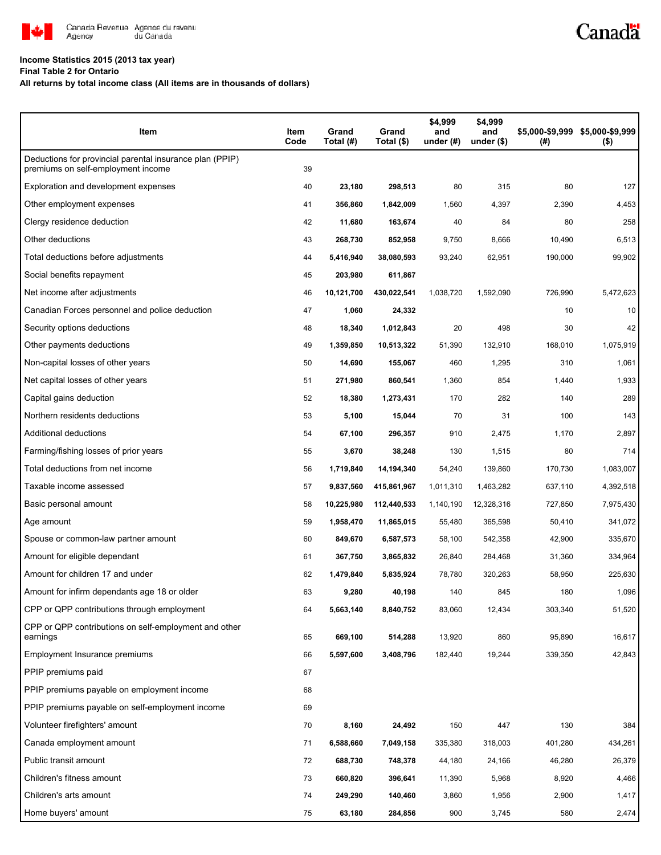

## **Income Statistics 2015 (2013 tax year)**

**Final Table 2 for Ontario**

**All returns by total income class (All items are in thousands of dollars)**

|         |         | Canadä |
|---------|---------|--------|
|         |         |        |
|         |         |        |
| \$4,999 | \$4,999 |        |

| Item                                                                                           | Item<br>Code | Grand<br>Total (#) | Grand<br>Total (\$) | \$4,999<br>and<br>under $(#)$ | \$4,999<br>and<br>under $($)$ | (# )    | \$5,000-\$9,999 \$5,000-\$9,999<br>$($ \$) |
|------------------------------------------------------------------------------------------------|--------------|--------------------|---------------------|-------------------------------|-------------------------------|---------|--------------------------------------------|
| Deductions for provincial parental insurance plan (PPIP)<br>premiums on self-employment income | 39           |                    |                     |                               |                               |         |                                            |
| Exploration and development expenses                                                           | 40           | 23,180             | 298,513             | 80                            | 315                           | 80      | 127                                        |
| Other employment expenses                                                                      | 41           | 356,860            | 1,842,009           | 1,560                         | 4,397                         | 2,390   | 4,453                                      |
| Clergy residence deduction                                                                     | 42           | 11,680             | 163,674             | 40                            | 84                            | 80      | 258                                        |
| Other deductions                                                                               | 43           | 268,730            | 852,958             | 9,750                         | 8,666                         | 10,490  | 6,513                                      |
| Total deductions before adjustments                                                            | 44           | 5,416,940          | 38,080,593          | 93,240                        | 62,951                        | 190,000 | 99,902                                     |
| Social benefits repayment                                                                      | 45           | 203,980            | 611,867             |                               |                               |         |                                            |
| Net income after adjustments                                                                   | 46           | 10,121,700         | 430,022,541         | 1,038,720                     | 1,592,090                     | 726,990 | 5,472,623                                  |
| Canadian Forces personnel and police deduction                                                 | 47           | 1,060              | 24,332              |                               |                               | 10      | 10                                         |
| Security options deductions                                                                    | 48           | 18,340             | 1,012,843           | 20                            | 498                           | 30      | 42                                         |
| Other payments deductions                                                                      | 49           | 1,359,850          | 10,513,322          | 51,390                        | 132,910                       | 168,010 | 1,075,919                                  |
| Non-capital losses of other years                                                              | 50           | 14,690             | 155,067             | 460                           | 1,295                         | 310     | 1,061                                      |
| Net capital losses of other years                                                              | 51           | 271,980            | 860,541             | 1,360                         | 854                           | 1,440   | 1,933                                      |
| Capital gains deduction                                                                        | 52           | 18,380             | 1,273,431           | 170                           | 282                           | 140     | 289                                        |
| Northern residents deductions                                                                  | 53           | 5,100              | 15,044              | 70                            | 31                            | 100     | 143                                        |
| Additional deductions                                                                          | 54           | 67,100             | 296,357             | 910                           | 2,475                         | 1,170   | 2,897                                      |
| Farming/fishing losses of prior years                                                          | 55           | 3,670              | 38,248              | 130                           | 1,515                         | 80      | 714                                        |
| Total deductions from net income                                                               | 56           | 1,719,840          | 14,194,340          | 54,240                        | 139,860                       | 170,730 | 1,083,007                                  |
| Taxable income assessed                                                                        | 57           | 9,837,560          | 415,861,967         | 1,011,310                     | 1,463,282                     | 637,110 | 4,392,518                                  |
| Basic personal amount                                                                          | 58           | 10,225,980         | 112,440,533         | 1,140,190                     | 12,328,316                    | 727,850 | 7,975,430                                  |
| Age amount                                                                                     | 59           | 1,958,470          | 11,865,015          | 55,480                        | 365,598                       | 50,410  | 341,072                                    |
| Spouse or common-law partner amount                                                            | 60           | 849,670            | 6,587,573           | 58,100                        | 542,358                       | 42,900  | 335,670                                    |
| Amount for eligible dependant                                                                  | 61           | 367,750            | 3,865,832           | 26,840                        | 284,468                       | 31,360  | 334,964                                    |
| Amount for children 17 and under                                                               | 62           | 1,479,840          | 5,835,924           | 78,780                        | 320,263                       | 58,950  | 225,630                                    |
| Amount for infirm dependants age 18 or older                                                   | 63           | 9,280              | 40,198              | 140                           | 845                           | 180     | 1,096                                      |
| CPP or QPP contributions through employment                                                    | 64           | 5,663,140          | 8,840,752           | 83,060                        | 12,434                        | 303,340 | 51,520                                     |
| CPP or QPP contributions on self-employment and other<br>earnings                              | 65           | 669,100            | 514,288             | 13,920                        | 860                           | 95,890  | 16,617                                     |
| Employment Insurance premiums                                                                  | 66           | 5,597,600          | 3,408,796           | 182,440                       | 19,244                        | 339,350 | 42,843                                     |
| PPIP premiums paid                                                                             | 67           |                    |                     |                               |                               |         |                                            |
| PPIP premiums payable on employment income                                                     | 68           |                    |                     |                               |                               |         |                                            |
| PPIP premiums payable on self-employment income                                                | 69           |                    |                     |                               |                               |         |                                            |
| Volunteer firefighters' amount                                                                 | 70           | 8,160              | 24,492              | 150                           | 447                           | 130     | 384                                        |
| Canada employment amount                                                                       | 71           | 6,588,660          | 7,049,158           | 335,380                       | 318,003                       | 401,280 | 434,261                                    |
| Public transit amount                                                                          | 72           | 688,730            | 748,378             | 44,180                        | 24,166                        | 46,280  | 26,379                                     |
| Children's fitness amount                                                                      | 73           | 660,820            | 396,641             | 11,390                        | 5,968                         | 8,920   | 4,466                                      |
| Children's arts amount                                                                         | 74           | 249,290            | 140,460             | 3,860                         | 1,956                         | 2,900   | 1,417                                      |
| Home buyers' amount                                                                            | 75           | 63,180             | 284,856             | 900                           | 3,745                         | 580     | 2,474                                      |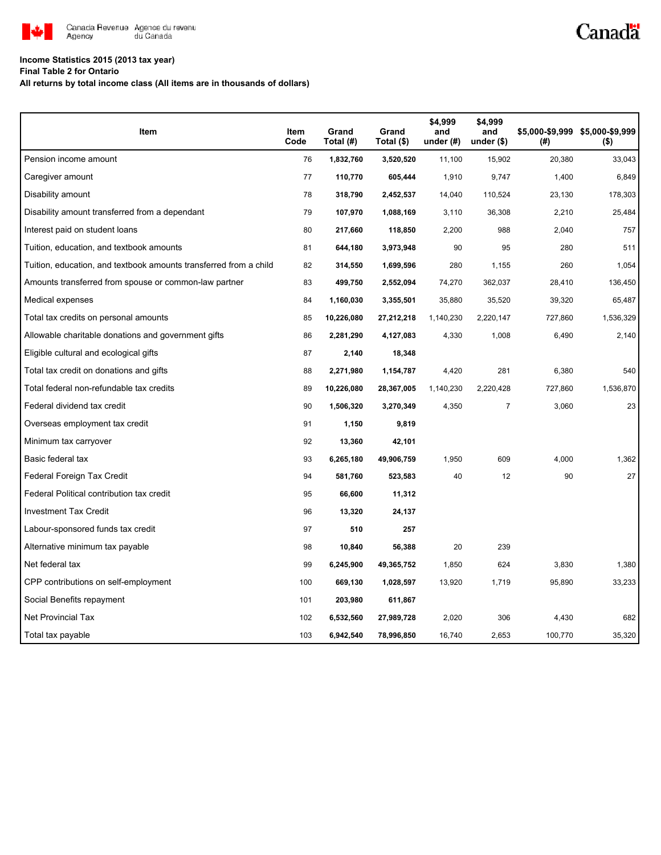

# Canadä

# **Income Statistics 2015 (2013 tax year)**

#### **Final Table 2 for Ontario**

**All returns by total income class (All items are in thousands of dollars)**

| Item                                                              | Item<br>Code | Grand<br>Total (#) | Grand<br>Total (\$) | \$4,999<br>and<br>under $(H)$ | \$4,999<br>and<br>under $($)$ | (#)     | \$5,000-\$9,999 \$5,000-\$9,999<br>$($ \$) |
|-------------------------------------------------------------------|--------------|--------------------|---------------------|-------------------------------|-------------------------------|---------|--------------------------------------------|
| Pension income amount                                             | 76           | 1,832,760          | 3,520,520           | 11,100                        | 15,902                        | 20,380  | 33,043                                     |
| Caregiver amount                                                  | 77           | 110,770            | 605,444             | 1,910                         | 9,747                         | 1,400   | 6,849                                      |
| Disability amount                                                 | 78           | 318,790            | 2,452,537           | 14,040                        | 110,524                       | 23,130  | 178,303                                    |
| Disability amount transferred from a dependant                    | 79           | 107,970            | 1,088,169           | 3,110                         | 36,308                        | 2,210   | 25,484                                     |
| Interest paid on student loans                                    | 80           | 217,660            | 118,850             | 2,200                         | 988                           | 2,040   | 757                                        |
| Tuition, education, and textbook amounts                          | 81           | 644,180            | 3,973,948           | 90                            | 95                            | 280     | 511                                        |
| Tuition, education, and textbook amounts transferred from a child | 82           | 314,550            | 1,699,596           | 280                           | 1,155                         | 260     | 1,054                                      |
| Amounts transferred from spouse or common-law partner             | 83           | 499,750            | 2,552,094           | 74,270                        | 362,037                       | 28,410  | 136,450                                    |
| Medical expenses                                                  | 84           | 1,160,030          | 3,355,501           | 35,880                        | 35,520                        | 39,320  | 65,487                                     |
| Total tax credits on personal amounts                             | 85           | 10,226,080         | 27,212,218          | 1,140,230                     | 2,220,147                     | 727,860 | 1,536,329                                  |
| Allowable charitable donations and government gifts               | 86           | 2,281,290          | 4,127,083           | 4,330                         | 1,008                         | 6,490   | 2,140                                      |
| Eligible cultural and ecological gifts                            | 87           | 2,140              | 18,348              |                               |                               |         |                                            |
| Total tax credit on donations and gifts                           | 88           | 2,271,980          | 1,154,787           | 4,420                         | 281                           | 6,380   | 540                                        |
| Total federal non-refundable tax credits                          | 89           | 10,226,080         | 28,367,005          | 1,140,230                     | 2,220,428                     | 727,860 | 1,536,870                                  |
| Federal dividend tax credit                                       | 90           | 1,506,320          | 3,270,349           | 4,350                         | $\overline{7}$                | 3,060   | 23                                         |
| Overseas employment tax credit                                    | 91           | 1,150              | 9,819               |                               |                               |         |                                            |
| Minimum tax carryover                                             | 92           | 13,360             | 42,101              |                               |                               |         |                                            |
| Basic federal tax                                                 | 93           | 6,265,180          | 49,906,759          | 1,950                         | 609                           | 4.000   | 1,362                                      |
| Federal Foreign Tax Credit                                        | 94           | 581,760            | 523,583             | 40                            | 12                            | 90      | 27                                         |
| Federal Political contribution tax credit                         | 95           | 66,600             | 11,312              |                               |                               |         |                                            |
| <b>Investment Tax Credit</b>                                      | 96           | 13,320             | 24,137              |                               |                               |         |                                            |
| Labour-sponsored funds tax credit                                 | 97           | 510                | 257                 |                               |                               |         |                                            |
| Alternative minimum tax payable                                   | 98           | 10,840             | 56,388              | 20                            | 239                           |         |                                            |
| Net federal tax                                                   | 99           | 6,245,900          | 49,365,752          | 1,850                         | 624                           | 3,830   | 1,380                                      |
| CPP contributions on self-employment                              | 100          | 669,130            | 1,028,597           | 13,920                        | 1,719                         | 95,890  | 33,233                                     |
| Social Benefits repayment                                         | 101          | 203,980            | 611,867             |                               |                               |         |                                            |
| <b>Net Provincial Tax</b>                                         | 102          | 6,532,560          | 27,989,728          | 2,020                         | 306                           | 4,430   | 682                                        |
| Total tax payable                                                 | 103          | 6,942,540          | 78,996,850          | 16,740                        | 2,653                         | 100,770 | 35,320                                     |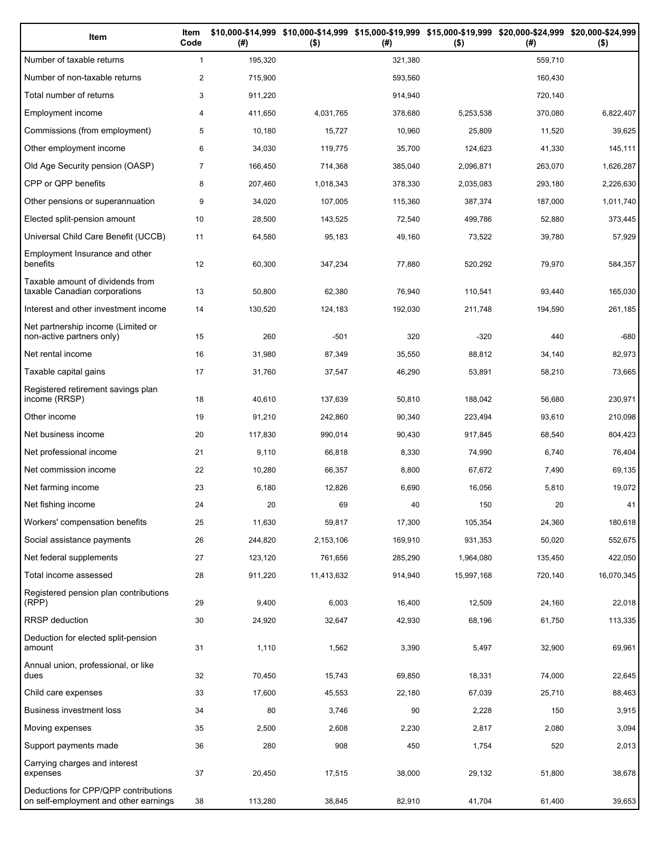| Item                                                                          | Item<br>Code   | (# )    | \$10,000-\$14,999 \$10,000-\$14,999 \$15,000-\$19,999 \$15,000-\$19,999 \$20,000-\$24,999 \$20,000-\$24,999<br>$($ \$) | (#)     | $($ \$)    | (# )    | $($ \$)    |
|-------------------------------------------------------------------------------|----------------|---------|------------------------------------------------------------------------------------------------------------------------|---------|------------|---------|------------|
| Number of taxable returns                                                     | $\mathbf{1}$   | 195,320 |                                                                                                                        | 321,380 |            | 559,710 |            |
| Number of non-taxable returns                                                 | $\overline{2}$ | 715,900 |                                                                                                                        | 593,560 |            | 160,430 |            |
| Total number of returns                                                       | 3              | 911,220 |                                                                                                                        | 914,940 |            | 720,140 |            |
| Employment income                                                             | 4              | 411,650 | 4,031,765                                                                                                              | 378,680 | 5,253,538  | 370,080 | 6,822,407  |
| Commissions (from employment)                                                 | 5              | 10,180  | 15,727                                                                                                                 | 10,960  | 25,809     | 11,520  | 39,625     |
| Other employment income                                                       | 6              | 34,030  | 119,775                                                                                                                | 35,700  | 124,623    | 41,330  | 145,111    |
| Old Age Security pension (OASP)                                               | $\overline{7}$ | 166,450 | 714,368                                                                                                                | 385,040 | 2,096,871  | 263,070 | 1,626,287  |
| CPP or QPP benefits                                                           | 8              | 207,460 | 1,018,343                                                                                                              | 378,330 | 2,035,083  | 293,180 | 2,226,630  |
| Other pensions or superannuation                                              | 9              | 34,020  | 107,005                                                                                                                | 115,360 | 387,374    | 187,000 | 1,011,740  |
| Elected split-pension amount                                                  | 10             | 28,500  | 143,525                                                                                                                | 72,540  | 499,786    | 52,880  | 373,445    |
| Universal Child Care Benefit (UCCB)                                           | 11             | 64,580  | 95,183                                                                                                                 | 49,160  | 73,522     | 39,780  | 57,929     |
| Employment Insurance and other<br>benefits                                    | 12             | 60,300  | 347,234                                                                                                                | 77,880  | 520,292    | 79,970  | 584,357    |
| Taxable amount of dividends from<br>taxable Canadian corporations             | 13             | 50,800  | 62,380                                                                                                                 | 76,940  | 110,541    | 93,440  | 165,030    |
| Interest and other investment income                                          | 14             | 130,520 | 124,183                                                                                                                | 192,030 | 211,748    | 194,590 | 261,185    |
| Net partnership income (Limited or<br>non-active partners only)               | 15             | 260     | $-501$                                                                                                                 | 320     | $-320$     | 440     | $-680$     |
| Net rental income                                                             | 16             | 31,980  | 87,349                                                                                                                 | 35,550  | 88,812     | 34,140  | 82,973     |
| Taxable capital gains                                                         | 17             | 31,760  | 37,547                                                                                                                 | 46,290  | 53,891     | 58,210  | 73,665     |
| Registered retirement savings plan<br>income (RRSP)                           | 18             | 40,610  | 137,639                                                                                                                | 50,810  | 188,042    | 56,680  | 230,971    |
| Other income                                                                  | 19             | 91,210  | 242,860                                                                                                                | 90,340  | 223,494    | 93,610  | 210,098    |
| Net business income                                                           | 20             | 117,830 | 990,014                                                                                                                | 90,430  | 917,845    | 68,540  | 804,423    |
| Net professional income                                                       | 21             | 9,110   | 66,818                                                                                                                 | 8,330   | 74,990     | 6,740   | 76,404     |
| Net commission income                                                         | 22             | 10,280  | 66,357                                                                                                                 | 8,800   | 67,672     | 7,490   | 69,135     |
| Net farming income                                                            | 23             | 6,180   | 12,826                                                                                                                 | 6,690   | 16,056     | 5,810   | 19,072     |
| Net fishing income                                                            | 24             | 20      | 69                                                                                                                     | 40      | 150        | 20      | 41         |
| Workers' compensation benefits                                                | 25             | 11,630  | 59,817                                                                                                                 | 17,300  | 105,354    | 24,360  | 180,618    |
| Social assistance payments                                                    | 26             | 244,820 | 2,153,106                                                                                                              | 169,910 | 931,353    | 50,020  | 552,675    |
| Net federal supplements                                                       | 27             | 123,120 | 761,656                                                                                                                | 285,290 | 1,964,080  | 135,450 | 422,050    |
| Total income assessed                                                         | 28             | 911,220 | 11,413,632                                                                                                             | 914,940 | 15,997,168 | 720,140 | 16,070,345 |
| Registered pension plan contributions<br>(RPP)                                | 29             | 9,400   | 6,003                                                                                                                  | 16,400  | 12,509     | 24,160  | 22,018     |
| RRSP deduction                                                                | 30             | 24,920  | 32,647                                                                                                                 | 42,930  | 68,196     | 61,750  | 113,335    |
| Deduction for elected split-pension<br>amount                                 | 31             | 1,110   | 1,562                                                                                                                  | 3,390   | 5,497      | 32,900  | 69,961     |
| Annual union, professional, or like<br>dues                                   | 32             | 70,450  | 15,743                                                                                                                 | 69,850  | 18,331     | 74,000  | 22,645     |
| Child care expenses                                                           | 33             | 17,600  | 45,553                                                                                                                 | 22,180  | 67,039     | 25,710  | 88,463     |
| Business investment loss                                                      | 34             | 80      | 3,746                                                                                                                  | 90      | 2,228      | 150     | 3,915      |
| Moving expenses                                                               | 35             | 2,500   | 2,608                                                                                                                  | 2,230   | 2,817      | 2,080   | 3,094      |
| Support payments made                                                         | 36             | 280     | 908                                                                                                                    | 450     | 1,754      | 520     | 2,013      |
| Carrying charges and interest<br>expenses                                     | 37             | 20,450  | 17,515                                                                                                                 | 38,000  | 29,132     | 51,800  | 38,678     |
| Deductions for CPP/QPP contributions<br>on self-employment and other earnings | 38             | 113,280 | 38,845                                                                                                                 | 82,910  | 41,704     | 61,400  | 39,653     |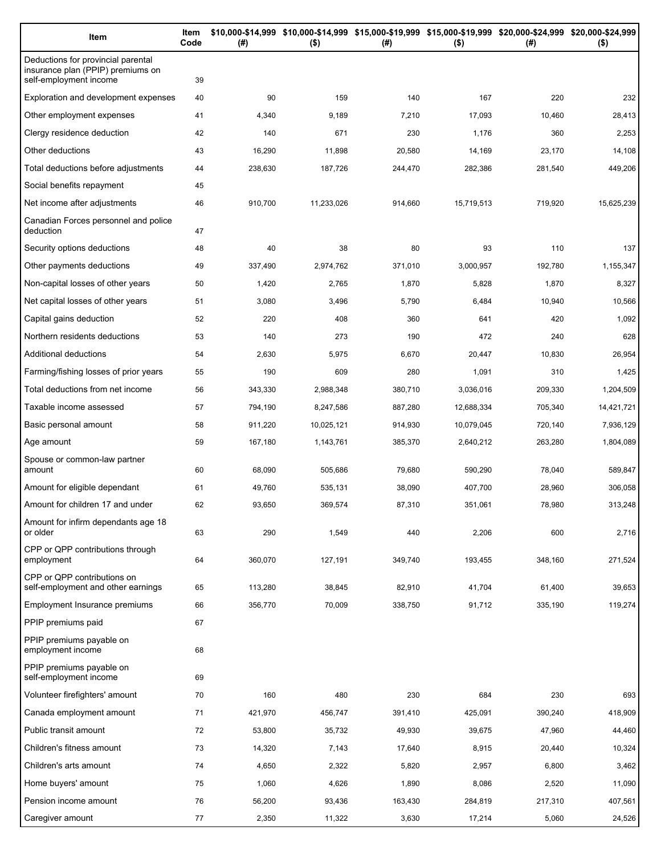| Item                                                                                              | Item<br>Code | (#)     | \$10,000-\$14,999 \$10,000-\$14,999 \$15,000-\$19,999 \$15,000-\$19,999 \$20,000-\$24,999 \$20,000-\$24,999<br>$($ \$) | (#)     | $($ \$)    | (#)     | $($ \$)    |
|---------------------------------------------------------------------------------------------------|--------------|---------|------------------------------------------------------------------------------------------------------------------------|---------|------------|---------|------------|
| Deductions for provincial parental<br>insurance plan (PPIP) premiums on<br>self-employment income | 39           |         |                                                                                                                        |         |            |         |            |
| Exploration and development expenses                                                              | 40           | 90      | 159                                                                                                                    | 140     | 167        | 220     | 232        |
| Other employment expenses                                                                         | 41           | 4,340   | 9,189                                                                                                                  | 7,210   | 17,093     | 10,460  | 28,413     |
| Clergy residence deduction                                                                        | 42           | 140     | 671                                                                                                                    | 230     | 1,176      | 360     | 2,253      |
| Other deductions                                                                                  | 43           | 16,290  | 11,898                                                                                                                 | 20,580  | 14,169     | 23,170  | 14,108     |
| Total deductions before adjustments                                                               | 44           | 238,630 | 187,726                                                                                                                | 244,470 | 282,386    | 281,540 | 449,206    |
| Social benefits repayment                                                                         | 45           |         |                                                                                                                        |         |            |         |            |
| Net income after adjustments                                                                      | 46           | 910,700 | 11,233,026                                                                                                             | 914,660 | 15,719,513 | 719,920 | 15,625,239 |
| Canadian Forces personnel and police<br>deduction                                                 | 47           |         |                                                                                                                        |         |            |         |            |
| Security options deductions                                                                       | 48           | 40      | 38                                                                                                                     | 80      | 93         | 110     | 137        |
| Other payments deductions                                                                         | 49           | 337,490 | 2,974,762                                                                                                              | 371,010 | 3,000,957  | 192,780 | 1,155,347  |
| Non-capital losses of other years                                                                 | 50           | 1,420   | 2,765                                                                                                                  | 1,870   | 5,828      | 1,870   | 8,327      |
| Net capital losses of other years                                                                 | 51           | 3,080   | 3,496                                                                                                                  | 5,790   | 6,484      | 10,940  | 10,566     |
| Capital gains deduction                                                                           | 52           | 220     | 408                                                                                                                    | 360     | 641        | 420     | 1,092      |
| Northern residents deductions                                                                     | 53           | 140     | 273                                                                                                                    | 190     | 472        | 240     | 628        |
| Additional deductions                                                                             | 54           | 2,630   | 5,975                                                                                                                  | 6,670   | 20,447     | 10,830  | 26,954     |
| Farming/fishing losses of prior years                                                             | 55           | 190     | 609                                                                                                                    | 280     | 1,091      | 310     | 1,425      |
| Total deductions from net income                                                                  | 56           | 343,330 | 2,988,348                                                                                                              | 380,710 | 3,036,016  | 209,330 | 1,204,509  |
| Taxable income assessed                                                                           | 57           | 794,190 | 8,247,586                                                                                                              | 887,280 | 12,688,334 | 705,340 | 14,421,721 |
| Basic personal amount                                                                             | 58           | 911,220 | 10,025,121                                                                                                             | 914,930 | 10,079,045 | 720,140 | 7,936,129  |
| Age amount                                                                                        | 59           | 167,180 | 1,143,761                                                                                                              | 385,370 | 2,640,212  | 263,280 | 1,804,089  |
| Spouse or common-law partner<br>amount                                                            | 60           | 68,090  | 505,686                                                                                                                | 79,680  | 590,290    | 78,040  | 589,847    |
| Amount for eligible dependant                                                                     | 61           | 49,760  | 535,131                                                                                                                | 38,090  | 407,700    | 28,960  | 306,058    |
| Amount for children 17 and under                                                                  | 62           | 93,650  | 369,574                                                                                                                | 87,310  | 351,061    | 78,980  | 313,248    |
| Amount for infirm dependants age 18<br>or older                                                   | 63           | 290     | 1,549                                                                                                                  | 440     | 2,206      | 600     | 2,716      |
| CPP or QPP contributions through<br>employment                                                    | 64           | 360,070 | 127,191                                                                                                                | 349,740 | 193,455    | 348,160 | 271,524    |
| CPP or QPP contributions on<br>self-employment and other earnings                                 | 65           | 113,280 | 38,845                                                                                                                 | 82,910  | 41,704     | 61,400  | 39,653     |
| Employment Insurance premiums                                                                     | 66           | 356,770 | 70,009                                                                                                                 | 338,750 | 91,712     | 335,190 | 119,274    |
| PPIP premiums paid                                                                                | 67           |         |                                                                                                                        |         |            |         |            |
| PPIP premiums payable on<br>employment income                                                     | 68           |         |                                                                                                                        |         |            |         |            |
| PPIP premiums payable on<br>self-employment income                                                | 69           |         |                                                                                                                        |         |            |         |            |
| Volunteer firefighters' amount                                                                    | 70           | 160     | 480                                                                                                                    | 230     | 684        | 230     | 693        |
| Canada employment amount                                                                          | 71           | 421,970 | 456,747                                                                                                                | 391,410 | 425,091    | 390,240 | 418,909    |
| Public transit amount                                                                             | 72           | 53,800  | 35,732                                                                                                                 | 49,930  | 39,675     | 47,960  | 44,460     |
| Children's fitness amount                                                                         | 73           | 14,320  | 7,143                                                                                                                  | 17,640  | 8,915      | 20,440  | 10,324     |
| Children's arts amount                                                                            | 74           | 4,650   | 2,322                                                                                                                  | 5,820   | 2,957      | 6,800   | 3,462      |
| Home buyers' amount                                                                               | 75           | 1,060   | 4,626                                                                                                                  | 1,890   | 8,086      | 2,520   | 11,090     |
| Pension income amount                                                                             | 76           | 56,200  | 93,436                                                                                                                 | 163,430 | 284,819    | 217,310 | 407,561    |
| Caregiver amount                                                                                  | 77           | 2,350   | 11,322                                                                                                                 | 3,630   | 17,214     | 5,060   | 24,526     |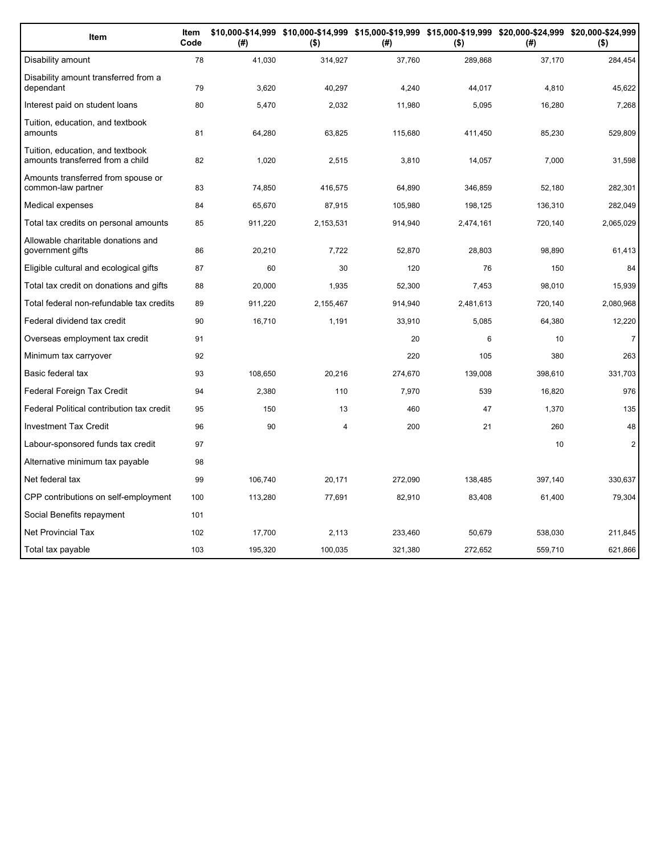| Item                                                                 | Item<br>Code | (#)     | $($ \$)   | (#)     | $($ \$)   | \$10,000-\$14,999 \$10,000-\$14,999 \$15,000-\$19,999 \$15,000-\$19,999 \$20,000-\$24,999 \$20,000-\$24,999<br>(#) | $($ \$)        |
|----------------------------------------------------------------------|--------------|---------|-----------|---------|-----------|--------------------------------------------------------------------------------------------------------------------|----------------|
| Disability amount                                                    | 78           | 41,030  | 314,927   | 37,760  | 289,868   | 37,170                                                                                                             | 284,454        |
| Disability amount transferred from a<br>dependant                    | 79           | 3,620   | 40,297    | 4,240   | 44,017    | 4,810                                                                                                              | 45,622         |
| Interest paid on student loans                                       | 80           | 5,470   | 2,032     | 11,980  | 5,095     | 16,280                                                                                                             | 7,268          |
| Tuition, education, and textbook<br>amounts                          | 81           | 64,280  | 63,825    | 115,680 | 411,450   | 85,230                                                                                                             | 529,809        |
| Tuition, education, and textbook<br>amounts transferred from a child | 82           | 1,020   | 2,515     | 3,810   | 14,057    | 7,000                                                                                                              | 31,598         |
| Amounts transferred from spouse or<br>common-law partner             | 83           | 74,850  | 416,575   | 64,890  | 346,859   | 52,180                                                                                                             | 282,301        |
| Medical expenses                                                     | 84           | 65,670  | 87,915    | 105,980 | 198,125   | 136,310                                                                                                            | 282,049        |
| Total tax credits on personal amounts                                | 85           | 911,220 | 2,153,531 | 914,940 | 2,474,161 | 720,140                                                                                                            | 2,065,029      |
| Allowable charitable donations and<br>government gifts               | 86           | 20,210  | 7,722     | 52,870  | 28,803    | 98,890                                                                                                             | 61,413         |
| Eligible cultural and ecological gifts                               | 87           | 60      | 30        | 120     | 76        | 150                                                                                                                | 84             |
| Total tax credit on donations and gifts                              | 88           | 20,000  | 1,935     | 52,300  | 7,453     | 98,010                                                                                                             | 15,939         |
| Total federal non-refundable tax credits                             | 89           | 911,220 | 2,155,467 | 914,940 | 2,481,613 | 720,140                                                                                                            | 2,080,968      |
| Federal dividend tax credit                                          | 90           | 16,710  | 1,191     | 33,910  | 5,085     | 64,380                                                                                                             | 12,220         |
| Overseas employment tax credit                                       | 91           |         |           | 20      | 6         | 10                                                                                                                 | $\overline{7}$ |
| Minimum tax carryover                                                | 92           |         |           | 220     | 105       | 380                                                                                                                | 263            |
| Basic federal tax                                                    | 93           | 108,650 | 20,216    | 274,670 | 139,008   | 398,610                                                                                                            | 331,703        |
| Federal Foreign Tax Credit                                           | 94           | 2,380   | 110       | 7,970   | 539       | 16,820                                                                                                             | 976            |
| Federal Political contribution tax credit                            | 95           | 150     | 13        | 460     | 47        | 1,370                                                                                                              | 135            |
| <b>Investment Tax Credit</b>                                         | 96           | 90      | 4         | 200     | 21        | 260                                                                                                                | 48             |
| Labour-sponsored funds tax credit                                    | 97           |         |           |         |           | 10                                                                                                                 | $\overline{2}$ |
| Alternative minimum tax payable                                      | 98           |         |           |         |           |                                                                                                                    |                |
| Net federal tax                                                      | 99           | 106.740 | 20.171    | 272,090 | 138,485   | 397,140                                                                                                            | 330,637        |
| CPP contributions on self-employment                                 | 100          | 113,280 | 77,691    | 82,910  | 83,408    | 61,400                                                                                                             | 79,304         |
| Social Benefits repayment                                            | 101          |         |           |         |           |                                                                                                                    |                |
| <b>Net Provincial Tax</b>                                            | 102          | 17,700  | 2,113     | 233,460 | 50,679    | 538,030                                                                                                            | 211,845        |
| Total tax payable                                                    | 103          | 195,320 | 100,035   | 321,380 | 272,652   | 559,710                                                                                                            | 621,866        |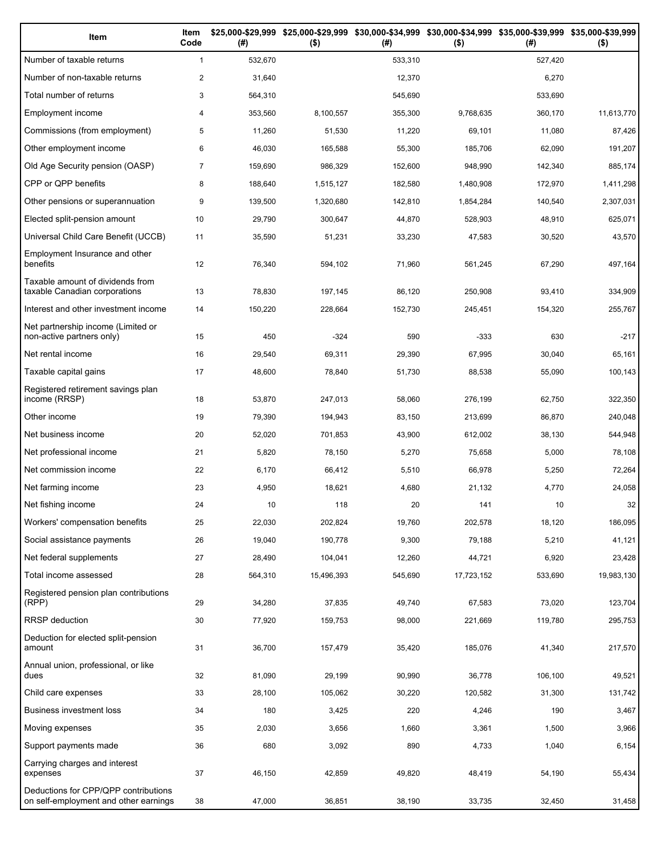| Item                                                                          | Item<br>Code   | (# )    | \$25,000-\$29,999 \$25,000-\$29,999<br>$($ \$) | (# )    | \$30,000-\$34,999 \$30,000-\$34,999 \$35,000-\$39,999 \$35,000-\$39,999<br>$($ \$) | (# )    | $($ \$)    |
|-------------------------------------------------------------------------------|----------------|---------|------------------------------------------------|---------|------------------------------------------------------------------------------------|---------|------------|
| Number of taxable returns                                                     | $\mathbf{1}$   | 532,670 |                                                | 533,310 |                                                                                    | 527,420 |            |
| Number of non-taxable returns                                                 | $\overline{c}$ | 31,640  |                                                | 12,370  |                                                                                    | 6,270   |            |
| Total number of returns                                                       | 3              | 564,310 |                                                | 545,690 |                                                                                    | 533,690 |            |
| Employment income                                                             | 4              | 353,560 | 8,100,557                                      | 355,300 | 9,768,635                                                                          | 360,170 | 11,613,770 |
| Commissions (from employment)                                                 | 5              | 11,260  | 51,530                                         | 11,220  | 69,101                                                                             | 11,080  | 87,426     |
| Other employment income                                                       | 6              | 46,030  | 165,588                                        | 55,300  | 185,706                                                                            | 62,090  | 191,207    |
| Old Age Security pension (OASP)                                               | $\overline{7}$ | 159,690 | 986,329                                        | 152,600 | 948,990                                                                            | 142,340 | 885,174    |
| CPP or QPP benefits                                                           | 8              | 188,640 | 1,515,127                                      | 182,580 | 1,480,908                                                                          | 172,970 | 1,411,298  |
| Other pensions or superannuation                                              | 9              | 139,500 | 1,320,680                                      | 142,810 | 1,854,284                                                                          | 140,540 | 2,307,031  |
| Elected split-pension amount                                                  | 10             | 29,790  | 300,647                                        | 44,870  | 528,903                                                                            | 48,910  | 625,071    |
| Universal Child Care Benefit (UCCB)                                           | 11             | 35,590  | 51,231                                         | 33,230  | 47,583                                                                             | 30,520  | 43,570     |
| Employment Insurance and other<br>benefits                                    | 12             | 76,340  | 594,102                                        | 71,960  | 561,245                                                                            | 67,290  | 497,164    |
| Taxable amount of dividends from<br>taxable Canadian corporations             | 13             | 78,830  | 197,145                                        | 86,120  | 250,908                                                                            | 93,410  | 334,909    |
| Interest and other investment income                                          | 14             | 150,220 | 228,664                                        | 152,730 | 245,451                                                                            | 154,320 | 255,767    |
| Net partnership income (Limited or<br>non-active partners only)               | 15             | 450     | $-324$                                         | 590     | $-333$                                                                             | 630     | $-217$     |
| Net rental income                                                             | 16             | 29,540  | 69,311                                         | 29,390  | 67,995                                                                             | 30,040  | 65,161     |
| Taxable capital gains                                                         | 17             | 48,600  | 78,840                                         | 51,730  | 88,538                                                                             | 55,090  | 100,143    |
| Registered retirement savings plan<br>income (RRSP)                           | 18             | 53,870  | 247,013                                        | 58,060  | 276,199                                                                            | 62,750  | 322,350    |
| Other income                                                                  | 19             | 79,390  | 194,943                                        | 83,150  | 213,699                                                                            | 86,870  | 240,048    |
| Net business income                                                           | 20             | 52,020  | 701,853                                        | 43,900  | 612,002                                                                            | 38,130  | 544,948    |
| Net professional income                                                       | 21             | 5,820   | 78,150                                         | 5,270   | 75,658                                                                             | 5,000   | 78,108     |
| Net commission income                                                         | 22             | 6,170   | 66,412                                         | 5,510   | 66,978                                                                             | 5,250   | 72,264     |
| Net farming income                                                            | 23             | 4,950   | 18,621                                         | 4,680   | 21,132                                                                             | 4,770   | 24,058     |
| Net fishing income                                                            | 24             | 10      | 118                                            | 20      | 141                                                                                | 10      | 32         |
| Workers' compensation benefits                                                | 25             | 22,030  | 202,824                                        | 19,760  | 202,578                                                                            | 18,120  | 186,095    |
| Social assistance payments                                                    | 26             | 19,040  | 190,778                                        | 9,300   | 79,188                                                                             | 5,210   | 41,121     |
| Net federal supplements                                                       | 27             | 28,490  | 104,041                                        | 12,260  | 44,721                                                                             | 6,920   | 23,428     |
| Total income assessed                                                         | 28             | 564,310 | 15,496,393                                     | 545,690 | 17,723,152                                                                         | 533,690 | 19,983,130 |
| Registered pension plan contributions<br>(RPP)                                | 29             | 34,280  | 37,835                                         | 49,740  | 67,583                                                                             | 73,020  | 123,704    |
| <b>RRSP</b> deduction                                                         | 30             | 77,920  | 159,753                                        | 98,000  | 221,669                                                                            | 119,780 | 295,753    |
| Deduction for elected split-pension<br>amount                                 | 31             | 36,700  | 157,479                                        | 35,420  | 185,076                                                                            | 41,340  | 217,570    |
| Annual union, professional, or like<br>dues                                   | 32             | 81,090  | 29,199                                         | 90,990  | 36,778                                                                             | 106,100 | 49,521     |
| Child care expenses                                                           | 33             | 28,100  | 105,062                                        | 30,220  | 120,582                                                                            | 31,300  | 131,742    |
| Business investment loss                                                      | 34             | 180     | 3,425                                          | 220     | 4,246                                                                              | 190     | 3,467      |
| Moving expenses                                                               | 35             | 2,030   | 3,656                                          | 1,660   | 3,361                                                                              | 1,500   | 3,966      |
| Support payments made                                                         | 36             | 680     | 3,092                                          | 890     | 4,733                                                                              | 1,040   | 6,154      |
| Carrying charges and interest<br>expenses                                     | 37             | 46,150  | 42,859                                         | 49,820  | 48,419                                                                             | 54,190  | 55,434     |
| Deductions for CPP/QPP contributions<br>on self-employment and other earnings | 38             | 47,000  | 36,851                                         | 38,190  | 33,735                                                                             | 32,450  | 31,458     |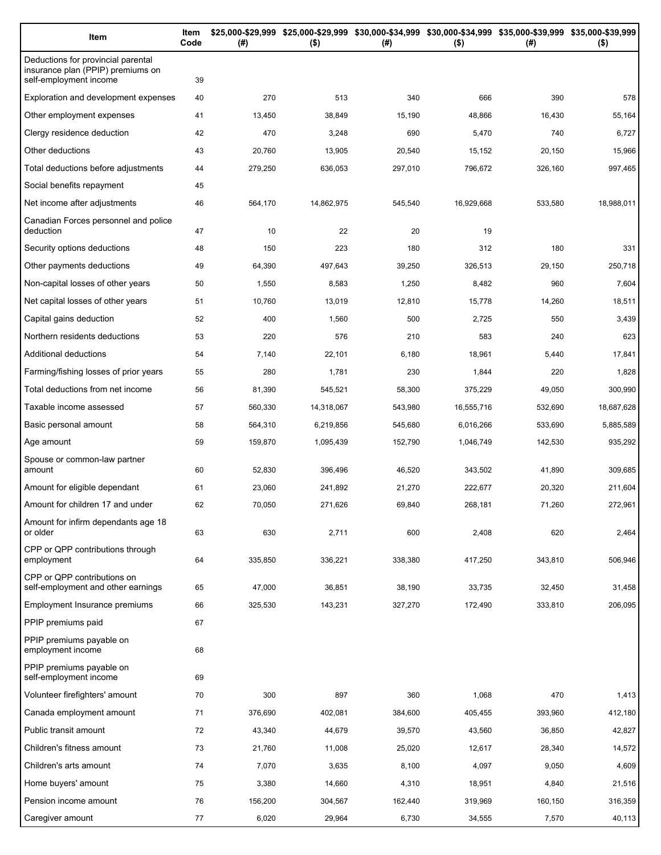| Item                                                                                              | Item<br>Code | (#)     | $($ \$)    | \$25,000-\$29,999 \$25,000-\$29,999 \$30,000-\$34,999 \$30,000-\$34,999 \$35,000-\$39,999 \$35,000-\$39,999<br>(#) | $($ \$)    | (# )    | $($ \$)    |
|---------------------------------------------------------------------------------------------------|--------------|---------|------------|--------------------------------------------------------------------------------------------------------------------|------------|---------|------------|
| Deductions for provincial parental<br>insurance plan (PPIP) premiums on<br>self-employment income | 39           |         |            |                                                                                                                    |            |         |            |
| Exploration and development expenses                                                              | 40           | 270     | 513        | 340                                                                                                                | 666        | 390     | 578        |
| Other employment expenses                                                                         | 41           | 13,450  | 38,849     | 15,190                                                                                                             | 48,866     | 16,430  | 55,164     |
| Clergy residence deduction                                                                        | 42           | 470     | 3,248      | 690                                                                                                                | 5,470      | 740     | 6,727      |
| Other deductions                                                                                  | 43           | 20,760  | 13,905     | 20,540                                                                                                             | 15,152     | 20,150  | 15,966     |
| Total deductions before adjustments                                                               | 44           | 279,250 | 636,053    | 297,010                                                                                                            | 796,672    | 326,160 | 997,465    |
| Social benefits repayment                                                                         | 45           |         |            |                                                                                                                    |            |         |            |
| Net income after adjustments                                                                      | 46           | 564,170 | 14,862,975 | 545,540                                                                                                            | 16,929,668 | 533,580 | 18,988,011 |
| Canadian Forces personnel and police<br>deduction                                                 | 47           | 10      | 22         | 20                                                                                                                 | 19         |         |            |
| Security options deductions                                                                       | 48           | 150     | 223        | 180                                                                                                                | 312        | 180     | 331        |
| Other payments deductions                                                                         | 49           | 64,390  | 497,643    | 39,250                                                                                                             | 326,513    | 29,150  | 250,718    |
| Non-capital losses of other years                                                                 | 50           | 1,550   | 8,583      | 1,250                                                                                                              | 8,482      | 960     | 7,604      |
| Net capital losses of other years                                                                 | 51           | 10,760  | 13,019     | 12,810                                                                                                             | 15,778     | 14,260  | 18,511     |
| Capital gains deduction                                                                           | 52           | 400     | 1,560      | 500                                                                                                                | 2,725      | 550     | 3,439      |
| Northern residents deductions                                                                     | 53           | 220     | 576        | 210                                                                                                                | 583        | 240     | 623        |
| Additional deductions                                                                             | 54           | 7,140   | 22,101     | 6,180                                                                                                              | 18,961     | 5,440   | 17,841     |
| Farming/fishing losses of prior years                                                             | 55           | 280     | 1,781      | 230                                                                                                                | 1,844      | 220     | 1,828      |
| Total deductions from net income                                                                  | 56           | 81,390  | 545,521    | 58,300                                                                                                             | 375,229    | 49,050  | 300,990    |
| Taxable income assessed                                                                           | 57           | 560,330 | 14,318,067 | 543,980                                                                                                            | 16,555,716 | 532,690 | 18,687,628 |
| Basic personal amount                                                                             | 58           | 564,310 | 6,219,856  | 545,680                                                                                                            | 6,016,266  | 533,690 | 5,885,589  |
| Age amount                                                                                        | 59           | 159,870 | 1,095,439  | 152,790                                                                                                            | 1,046,749  | 142,530 | 935,292    |
| Spouse or common-law partner<br>amount                                                            | 60           | 52,830  | 396,496    | 46,520                                                                                                             | 343,502    | 41,890  | 309,685    |
| Amount for eligible dependant                                                                     | 61           | 23,060  | 241,892    | 21,270                                                                                                             | 222,677    | 20,320  | 211,604    |
| Amount for children 17 and under                                                                  | 62           | 70,050  | 271,626    | 69,840                                                                                                             | 268,181    | 71,260  | 272,961    |
| Amount for infirm dependants age 18<br>or older                                                   | 63           | 630     | 2,711      | 600                                                                                                                | 2,408      | 620     | 2,464      |
| CPP or QPP contributions through<br>employment                                                    | 64           | 335,850 | 336,221    | 338,380                                                                                                            | 417,250    | 343,810 | 506,946    |
| CPP or QPP contributions on<br>self-employment and other earnings                                 | 65           | 47,000  | 36,851     | 38,190                                                                                                             | 33,735     | 32,450  | 31,458     |
| Employment Insurance premiums                                                                     | 66           | 325,530 | 143,231    | 327,270                                                                                                            | 172,490    | 333,810 | 206,095    |
| PPIP premiums paid                                                                                | 67           |         |            |                                                                                                                    |            |         |            |
| PPIP premiums payable on<br>employment income                                                     | 68           |         |            |                                                                                                                    |            |         |            |
| PPIP premiums payable on<br>self-employment income                                                | 69           |         |            |                                                                                                                    |            |         |            |
| Volunteer firefighters' amount                                                                    | 70           | 300     | 897        | 360                                                                                                                | 1,068      | 470     | 1,413      |
| Canada employment amount                                                                          | 71           | 376,690 | 402,081    | 384,600                                                                                                            | 405,455    | 393,960 | 412,180    |
| Public transit amount                                                                             | 72           | 43,340  | 44,679     | 39,570                                                                                                             | 43,560     | 36,850  | 42,827     |
| Children's fitness amount                                                                         | 73           | 21,760  | 11,008     | 25,020                                                                                                             | 12,617     | 28,340  | 14,572     |
| Children's arts amount                                                                            | 74           | 7,070   | 3,635      | 8,100                                                                                                              | 4,097      | 9,050   | 4,609      |
| Home buyers' amount                                                                               | 75           | 3,380   | 14,660     | 4,310                                                                                                              | 18,951     | 4,840   | 21,516     |
| Pension income amount                                                                             | 76           | 156,200 | 304,567    | 162,440                                                                                                            | 319,969    | 160,150 | 316,359    |
| Caregiver amount                                                                                  | 77           | 6,020   | 29,964     | 6,730                                                                                                              | 34,555     | 7,570   | 40,113     |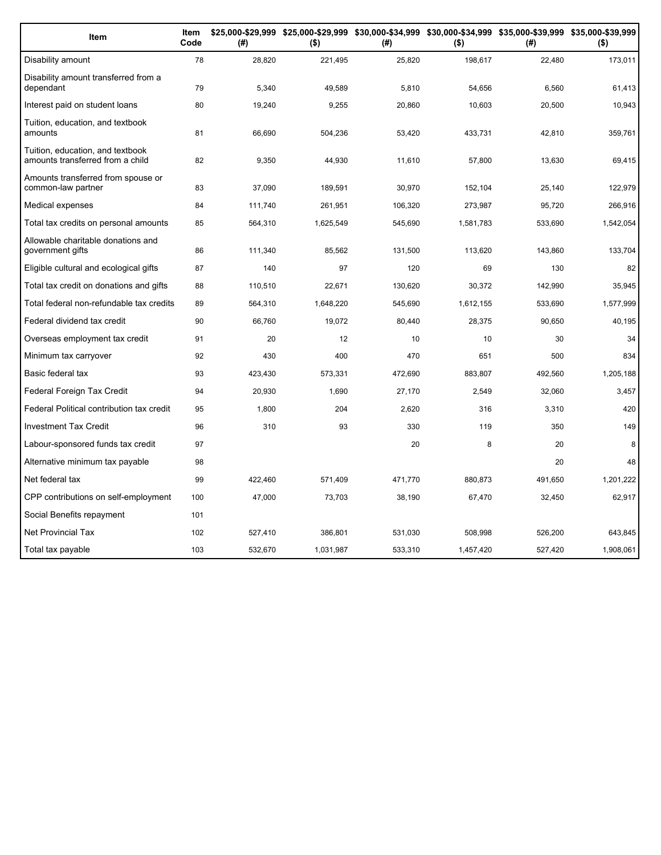| <b>Item</b>                                                          | Item<br>Code | (#)     | \$25,000-\$29,999 \$25,000-\$29,999 \$30,000-\$34,999 \$30,000-\$34,999 \$35,000-\$39,999 \$35,000-\$39,999<br>$($ \$) | (#)     | $($ \$)   | (#)     | $($ \$)   |
|----------------------------------------------------------------------|--------------|---------|------------------------------------------------------------------------------------------------------------------------|---------|-----------|---------|-----------|
| Disability amount                                                    | 78           | 28,820  | 221,495                                                                                                                | 25,820  | 198,617   | 22,480  | 173,011   |
| Disability amount transferred from a<br>dependant                    | 79           | 5.340   | 49.589                                                                                                                 | 5,810   | 54,656    | 6,560   | 61,413    |
| Interest paid on student loans                                       | 80           | 19,240  | 9,255                                                                                                                  | 20,860  | 10,603    | 20,500  | 10,943    |
| Tuition, education, and textbook<br>amounts                          | 81           | 66,690  | 504,236                                                                                                                | 53,420  | 433,731   | 42,810  | 359,761   |
| Tuition, education, and textbook<br>amounts transferred from a child | 82           | 9,350   | 44,930                                                                                                                 | 11,610  | 57,800    | 13,630  | 69,415    |
| Amounts transferred from spouse or<br>common-law partner             | 83           | 37,090  | 189,591                                                                                                                | 30,970  | 152,104   | 25,140  | 122,979   |
| Medical expenses                                                     | 84           | 111,740 | 261,951                                                                                                                | 106,320 | 273,987   | 95,720  | 266,916   |
| Total tax credits on personal amounts                                | 85           | 564,310 | 1,625,549                                                                                                              | 545,690 | 1,581,783 | 533,690 | 1,542,054 |
| Allowable charitable donations and<br>government gifts               | 86           | 111,340 | 85,562                                                                                                                 | 131,500 | 113,620   | 143,860 | 133,704   |
| Eligible cultural and ecological gifts                               | 87           | 140     | 97                                                                                                                     | 120     | 69        | 130     | 82        |
| Total tax credit on donations and gifts                              | 88           | 110,510 | 22,671                                                                                                                 | 130.620 | 30.372    | 142,990 | 35,945    |
| Total federal non-refundable tax credits                             | 89           | 564,310 | 1,648,220                                                                                                              | 545,690 | 1,612,155 | 533,690 | 1,577,999 |
| Federal dividend tax credit                                          | 90           | 66,760  | 19,072                                                                                                                 | 80,440  | 28,375    | 90,650  | 40,195    |
| Overseas employment tax credit                                       | 91           | 20      | 12                                                                                                                     | 10      | 10        | 30      | 34        |
| Minimum tax carryover                                                | 92           | 430     | 400                                                                                                                    | 470     | 651       | 500     | 834       |
| Basic federal tax                                                    | 93           | 423,430 | 573,331                                                                                                                | 472,690 | 883,807   | 492,560 | 1,205,188 |
| Federal Foreign Tax Credit                                           | 94           | 20,930  | 1,690                                                                                                                  | 27,170  | 2,549     | 32,060  | 3,457     |
| Federal Political contribution tax credit                            | 95           | 1,800   | 204                                                                                                                    | 2,620   | 316       | 3,310   | 420       |
| <b>Investment Tax Credit</b>                                         | 96           | 310     | 93                                                                                                                     | 330     | 119       | 350     | 149       |
| Labour-sponsored funds tax credit                                    | 97           |         |                                                                                                                        | 20      | 8         | 20      | 8         |
| Alternative minimum tax payable                                      | 98           |         |                                                                                                                        |         |           | 20      | 48        |
| Net federal tax                                                      | 99           | 422,460 | 571,409                                                                                                                | 471,770 | 880,873   | 491,650 | 1,201,222 |
| CPP contributions on self-employment                                 | 100          | 47,000  | 73,703                                                                                                                 | 38,190  | 67,470    | 32,450  | 62,917    |
| Social Benefits repayment                                            | 101          |         |                                                                                                                        |         |           |         |           |
| <b>Net Provincial Tax</b>                                            | 102          | 527,410 | 386,801                                                                                                                | 531,030 | 508,998   | 526,200 | 643,845   |
| Total tax payable                                                    | 103          | 532,670 | 1,031,987                                                                                                              | 533,310 | 1,457,420 | 527,420 | 1,908,061 |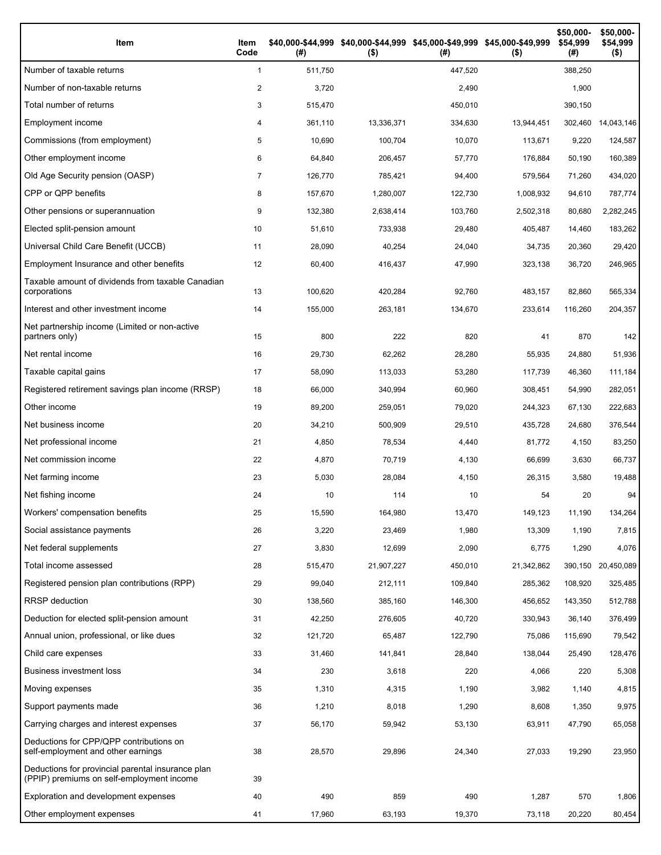| Item                                                                                           | Item<br>Code | (# )    | \$40,000-\$44,999 \$40,000-\$44,999 \$45,000-\$49,999 \$45,000-\$49,999<br>$($ \$) | (# )    | $($ \$)    | \$50,000-<br>\$54,999<br>(#) | \$50,000-<br>\$54,999<br>$($ \$) |
|------------------------------------------------------------------------------------------------|--------------|---------|------------------------------------------------------------------------------------|---------|------------|------------------------------|----------------------------------|
| Number of taxable returns                                                                      | $\mathbf{1}$ | 511,750 |                                                                                    | 447,520 |            | 388,250                      |                                  |
| Number of non-taxable returns                                                                  | 2            | 3,720   |                                                                                    | 2,490   |            | 1,900                        |                                  |
| Total number of returns                                                                        | 3            | 515,470 |                                                                                    | 450,010 |            | 390,150                      |                                  |
| Employment income                                                                              | 4            | 361,110 | 13,336,371                                                                         | 334,630 | 13,944,451 | 302,460                      | 14,043,146                       |
| Commissions (from employment)                                                                  | 5            | 10,690  | 100,704                                                                            | 10,070  | 113.671    | 9,220                        | 124,587                          |
| Other employment income                                                                        | 6            | 64,840  | 206.457                                                                            | 57,770  | 176,884    | 50,190                       | 160,389                          |
| Old Age Security pension (OASP)                                                                | 7            | 126,770 | 785,421                                                                            | 94,400  | 579,564    | 71,260                       | 434,020                          |
| CPP or QPP benefits                                                                            | 8            | 157,670 | 1,280,007                                                                          | 122,730 | 1,008,932  | 94,610                       | 787,774                          |
| Other pensions or superannuation                                                               | 9            | 132,380 | 2,638,414                                                                          | 103,760 | 2,502,318  | 80,680                       | 2,282,245                        |
| Elected split-pension amount                                                                   | 10           | 51,610  | 733,938                                                                            | 29,480  | 405,487    | 14,460                       | 183,262                          |
| Universal Child Care Benefit (UCCB)                                                            | 11           | 28,090  | 40,254                                                                             | 24,040  | 34,735     | 20,360                       | 29,420                           |
| Employment Insurance and other benefits                                                        | 12           | 60,400  | 416,437                                                                            | 47,990  | 323,138    | 36,720                       | 246,965                          |
| Taxable amount of dividends from taxable Canadian<br>corporations                              | 13           | 100,620 | 420,284                                                                            | 92,760  | 483,157    | 82,860                       | 565,334                          |
| Interest and other investment income                                                           | 14           | 155,000 | 263,181                                                                            | 134,670 | 233,614    | 116,260                      | 204,357                          |
| Net partnership income (Limited or non-active<br>partners only)                                | 15           | 800     | 222                                                                                | 820     | 41         | 870                          | 142                              |
| Net rental income                                                                              | 16           | 29,730  | 62,262                                                                             | 28,280  | 55,935     | 24,880                       | 51,936                           |
| Taxable capital gains                                                                          | 17           | 58,090  | 113,033                                                                            | 53,280  | 117,739    | 46,360                       | 111,184                          |
| Registered retirement savings plan income (RRSP)                                               | 18           | 66,000  | 340,994                                                                            | 60,960  | 308,451    | 54,990                       | 282,051                          |
| Other income                                                                                   | 19           | 89,200  | 259,051                                                                            | 79,020  | 244,323    | 67,130                       | 222,683                          |
| Net business income                                                                            | 20           | 34,210  | 500,909                                                                            | 29,510  | 435,728    | 24,680                       | 376,544                          |
| Net professional income                                                                        | 21           | 4,850   | 78,534                                                                             | 4,440   | 81,772     | 4,150                        | 83,250                           |
| Net commission income                                                                          | 22           | 4,870   | 70,719                                                                             | 4,130   | 66,699     | 3,630                        | 66,737                           |
| Net farming income                                                                             | 23           | 5,030   | 28,084                                                                             | 4,150   | 26,315     | 3,580                        | 19,488                           |
| Net fishing income                                                                             | 24           | 10      | 114                                                                                | 10      | 54         | 20                           | 94                               |
| Workers' compensation benefits                                                                 | 25           | 15,590  | 164,980                                                                            | 13,470  | 149,123    | 11,190                       | 134,264                          |
| Social assistance payments                                                                     | 26           | 3,220   | 23,469                                                                             | 1,980   | 13,309     | 1,190                        | 7,815                            |
| Net federal supplements                                                                        | 27           | 3,830   | 12,699                                                                             | 2,090   | 6,775      | 1,290                        | 4,076                            |
| Total income assessed                                                                          | 28           | 515,470 | 21,907,227                                                                         | 450,010 | 21,342,862 |                              | 390,150 20,450,089               |
| Registered pension plan contributions (RPP)                                                    | 29           | 99,040  | 212,111                                                                            | 109,840 | 285,362    | 108,920                      | 325,485                          |
| RRSP deduction                                                                                 | 30           | 138,560 | 385,160                                                                            | 146,300 | 456,652    | 143,350                      | 512,788                          |
| Deduction for elected split-pension amount                                                     | 31           | 42,250  | 276,605                                                                            | 40,720  | 330,943    | 36,140                       | 376,499                          |
| Annual union, professional, or like dues                                                       | 32           | 121,720 | 65,487                                                                             | 122,790 | 75,086     | 115,690                      | 79,542                           |
| Child care expenses                                                                            | 33           | 31,460  | 141,841                                                                            | 28,840  | 138,044    | 25,490                       | 128,476                          |
| <b>Business investment loss</b>                                                                | 34           | 230     | 3,618                                                                              | 220     | 4,066      | 220                          | 5,308                            |
| Moving expenses                                                                                | 35           | 1,310   | 4,315                                                                              | 1,190   | 3,982      | 1,140                        | 4,815                            |
| Support payments made                                                                          | 36           | 1,210   | 8,018                                                                              | 1,290   | 8,608      | 1,350                        | 9,975                            |
| Carrying charges and interest expenses                                                         | 37           | 56,170  | 59,942                                                                             | 53,130  | 63,911     | 47,790                       | 65,058                           |
| Deductions for CPP/QPP contributions on<br>self-employment and other earnings                  | 38           | 28,570  | 29,896                                                                             | 24,340  | 27,033     | 19,290                       | 23,950                           |
| Deductions for provincial parental insurance plan<br>(PPIP) premiums on self-employment income | 39           |         |                                                                                    |         |            |                              |                                  |
| Exploration and development expenses                                                           | 40           | 490     | 859                                                                                | 490     | 1,287      | 570                          | 1,806                            |
| Other employment expenses                                                                      | 41           | 17,960  | 63,193                                                                             | 19,370  | 73,118     | 20,220                       | 80,454                           |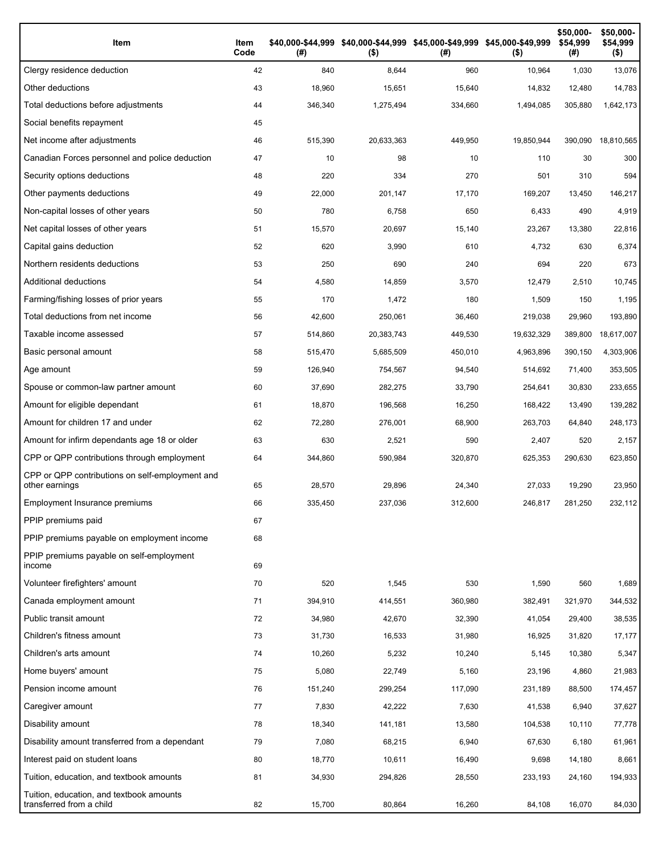| Item                                                                 | Item<br>Code | (# )    | $($ \$)    | \$40,000-\$44,999 \$40,000-\$44,999 \$45,000-\$49,999 \$45,000-\$49,999<br>(#) | $($ \$)    | \$50,000-<br>\$54,999<br>(#) | \$50,000-<br>\$54,999<br>$($ \$) |
|----------------------------------------------------------------------|--------------|---------|------------|--------------------------------------------------------------------------------|------------|------------------------------|----------------------------------|
| Clergy residence deduction                                           | 42           | 840     | 8,644      | 960                                                                            | 10,964     | 1,030                        | 13,076                           |
| Other deductions                                                     | 43           | 18,960  | 15,651     | 15,640                                                                         | 14,832     | 12,480                       | 14,783                           |
| Total deductions before adjustments                                  | 44           | 346,340 | 1,275,494  | 334,660                                                                        | 1,494,085  | 305,880                      | 1,642,173                        |
| Social benefits repayment                                            | 45           |         |            |                                                                                |            |                              |                                  |
| Net income after adjustments                                         | 46           | 515,390 | 20,633,363 | 449,950                                                                        | 19,850,944 | 390,090                      | 18,810,565                       |
| Canadian Forces personnel and police deduction                       | 47           | 10      | 98         | 10                                                                             | 110        | 30                           | 300                              |
| Security options deductions                                          | 48           | 220     | 334        | 270                                                                            | 501        | 310                          | 594                              |
| Other payments deductions                                            | 49           | 22,000  | 201,147    | 17,170                                                                         | 169,207    | 13,450                       | 146,217                          |
| Non-capital losses of other years                                    | 50           | 780     | 6,758      | 650                                                                            | 6,433      | 490                          | 4,919                            |
| Net capital losses of other years                                    | 51           | 15,570  | 20,697     | 15,140                                                                         | 23,267     | 13,380                       | 22,816                           |
| Capital gains deduction                                              | 52           | 620     | 3,990      | 610                                                                            | 4,732      | 630                          | 6,374                            |
| Northern residents deductions                                        | 53           | 250     | 690        | 240                                                                            | 694        | 220                          | 673                              |
| Additional deductions                                                | 54           | 4,580   | 14,859     | 3,570                                                                          | 12,479     | 2,510                        | 10,745                           |
| Farming/fishing losses of prior years                                | 55           | 170     | 1,472      | 180                                                                            | 1,509      | 150                          | 1,195                            |
| Total deductions from net income                                     | 56           | 42,600  | 250,061    | 36,460                                                                         | 219,038    | 29,960                       | 193,890                          |
| Taxable income assessed                                              | 57           | 514,860 | 20,383,743 | 449,530                                                                        | 19,632,329 | 389,800                      | 18,617,007                       |
| Basic personal amount                                                | 58           | 515,470 | 5,685,509  | 450,010                                                                        | 4,963,896  | 390,150                      | 4,303,906                        |
| Age amount                                                           | 59           | 126,940 | 754,567    | 94,540                                                                         | 514,692    | 71,400                       | 353,505                          |
| Spouse or common-law partner amount                                  | 60           | 37,690  | 282,275    | 33,790                                                                         | 254,641    | 30,830                       | 233,655                          |
| Amount for eligible dependant                                        | 61           | 18,870  | 196,568    | 16,250                                                                         | 168,422    | 13,490                       | 139,282                          |
| Amount for children 17 and under                                     | 62           | 72,280  | 276,001    | 68,900                                                                         | 263,703    | 64,840                       | 248,173                          |
| Amount for infirm dependants age 18 or older                         | 63           | 630     | 2,521      | 590                                                                            | 2,407      | 520                          | 2,157                            |
| CPP or QPP contributions through employment                          | 64           | 344,860 | 590,984    | 320,870                                                                        | 625,353    | 290,630                      | 623,850                          |
| CPP or QPP contributions on self-employment and<br>other earnings    | 65           | 28,570  | 29,896     | 24,340                                                                         | 27,033     | 19,290                       | 23,950                           |
| Employment Insurance premiums                                        | 66           | 335.450 | 237,036    | 312,600                                                                        | 246,817    | 281,250                      | 232,112                          |
| PPIP premiums paid                                                   | 67           |         |            |                                                                                |            |                              |                                  |
| PPIP premiums payable on employment income                           | 68           |         |            |                                                                                |            |                              |                                  |
| PPIP premiums payable on self-employment<br>income                   | 69           |         |            |                                                                                |            |                              |                                  |
| Volunteer firefighters' amount                                       | 70           | 520     | 1,545      | 530                                                                            | 1,590      | 560                          | 1,689                            |
| Canada employment amount                                             | 71           | 394,910 | 414,551    | 360,980                                                                        | 382,491    | 321,970                      | 344,532                          |
| Public transit amount                                                | 72           | 34,980  | 42,670     | 32,390                                                                         | 41,054     | 29,400                       | 38,535                           |
| Children's fitness amount                                            | 73           | 31,730  | 16,533     | 31,980                                                                         | 16,925     | 31,820                       | 17,177                           |
| Children's arts amount                                               | 74           | 10,260  | 5,232      | 10,240                                                                         | 5,145      | 10,380                       | 5,347                            |
| Home buyers' amount                                                  | 75           | 5,080   | 22,749     | 5,160                                                                          | 23,196     | 4,860                        | 21,983                           |
| Pension income amount                                                | 76           | 151,240 | 299,254    | 117,090                                                                        | 231,189    | 88,500                       | 174,457                          |
| Caregiver amount                                                     | 77           | 7,830   | 42,222     | 7,630                                                                          | 41,538     | 6,940                        | 37,627                           |
| Disability amount                                                    | 78           | 18,340  | 141,181    | 13,580                                                                         | 104,538    | 10,110                       | 77,778                           |
| Disability amount transferred from a dependant                       | 79           | 7,080   | 68,215     | 6,940                                                                          | 67,630     | 6,180                        | 61,961                           |
| Interest paid on student loans                                       | 80           | 18,770  | 10,611     | 16,490                                                                         | 9,698      | 14,180                       | 8,661                            |
| Tuition, education, and textbook amounts                             | 81           | 34,930  | 294,826    | 28,550                                                                         | 233,193    | 24,160                       | 194,933                          |
| Tuition, education, and textbook amounts<br>transferred from a child | 82           | 15,700  | 80,864     | 16,260                                                                         | 84,108     | 16,070                       | 84,030                           |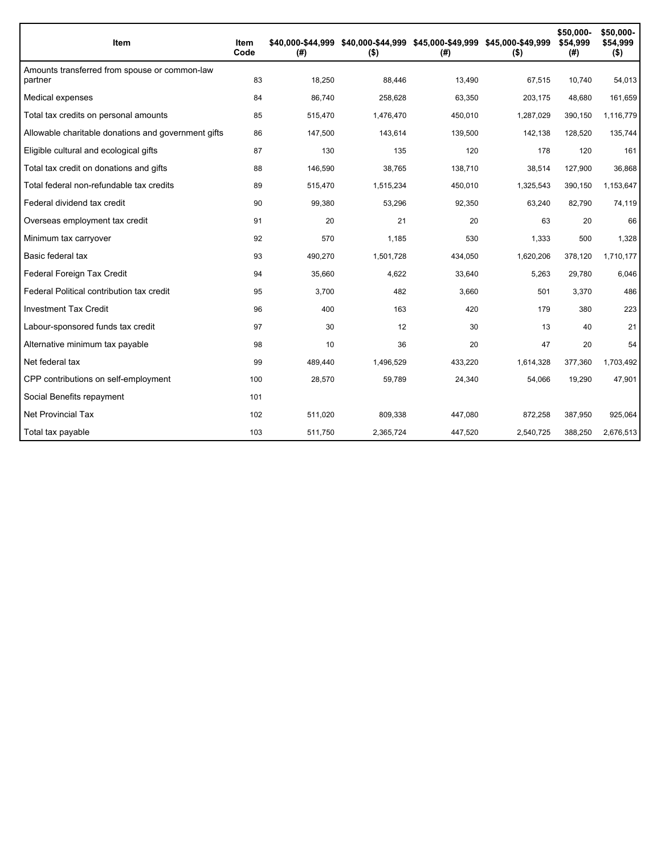| Item                                                     | Item<br>Code | (# )    | \$40,000-\$44,999 \$40,000-\$44,999 \$45,000-\$49,999 \$45,000-\$49,999<br>$($ \$) | (#)     | $($ \$)   | \$50,000-<br>\$54,999<br>(#) | \$50,000-<br>\$54,999<br>$($ \$) |
|----------------------------------------------------------|--------------|---------|------------------------------------------------------------------------------------|---------|-----------|------------------------------|----------------------------------|
| Amounts transferred from spouse or common-law<br>partner | 83           | 18,250  | 88,446                                                                             | 13,490  | 67,515    | 10,740                       | 54,013                           |
| Medical expenses                                         | 84           | 86,740  | 258,628                                                                            | 63,350  | 203,175   | 48,680                       | 161,659                          |
| Total tax credits on personal amounts                    | 85           | 515,470 | 1,476,470                                                                          | 450,010 | 1,287,029 | 390,150                      | 1,116,779                        |
| Allowable charitable donations and government gifts      | 86           | 147,500 | 143,614                                                                            | 139,500 | 142,138   | 128,520                      | 135,744                          |
| Eligible cultural and ecological gifts                   | 87           | 130     | 135                                                                                | 120     | 178       | 120                          | 161                              |
| Total tax credit on donations and gifts                  | 88           | 146,590 | 38,765                                                                             | 138,710 | 38,514    | 127,900                      | 36,868                           |
| Total federal non-refundable tax credits                 | 89           | 515,470 | 1,515,234                                                                          | 450,010 | 1,325,543 | 390,150                      | 1,153,647                        |
| Federal dividend tax credit                              | 90           | 99,380  | 53,296                                                                             | 92,350  | 63,240    | 82,790                       | 74,119                           |
| Overseas employment tax credit                           | 91           | 20      | 21                                                                                 | 20      | 63        | 20                           | 66                               |
| Minimum tax carryover                                    | 92           | 570     | 1,185                                                                              | 530     | 1,333     | 500                          | 1,328                            |
| Basic federal tax                                        | 93           | 490,270 | 1,501,728                                                                          | 434,050 | 1,620,206 | 378,120                      | 1,710,177                        |
| Federal Foreign Tax Credit                               | 94           | 35,660  | 4,622                                                                              | 33,640  | 5,263     | 29,780                       | 6,046                            |
| Federal Political contribution tax credit                | 95           | 3,700   | 482                                                                                | 3,660   | 501       | 3,370                        | 486                              |
| <b>Investment Tax Credit</b>                             | 96           | 400     | 163                                                                                | 420     | 179       | 380                          | 223                              |
| Labour-sponsored funds tax credit                        | 97           | 30      | 12                                                                                 | 30      | 13        | 40                           | 21                               |
| Alternative minimum tax payable                          | 98           | 10      | 36                                                                                 | 20      | 47        | 20                           | 54                               |
| Net federal tax                                          | 99           | 489,440 | 1,496,529                                                                          | 433,220 | 1,614,328 | 377,360                      | 1,703,492                        |
| CPP contributions on self-employment                     | 100          | 28,570  | 59,789                                                                             | 24,340  | 54,066    | 19,290                       | 47,901                           |
| Social Benefits repayment                                | 101          |         |                                                                                    |         |           |                              |                                  |
| Net Provincial Tax                                       | 102          | 511,020 | 809,338                                                                            | 447,080 | 872,258   | 387,950                      | 925,064                          |
| Total tax payable                                        | 103          | 511,750 | 2,365,724                                                                          | 447,520 | 2,540,725 | 388,250                      | 2,676,513                        |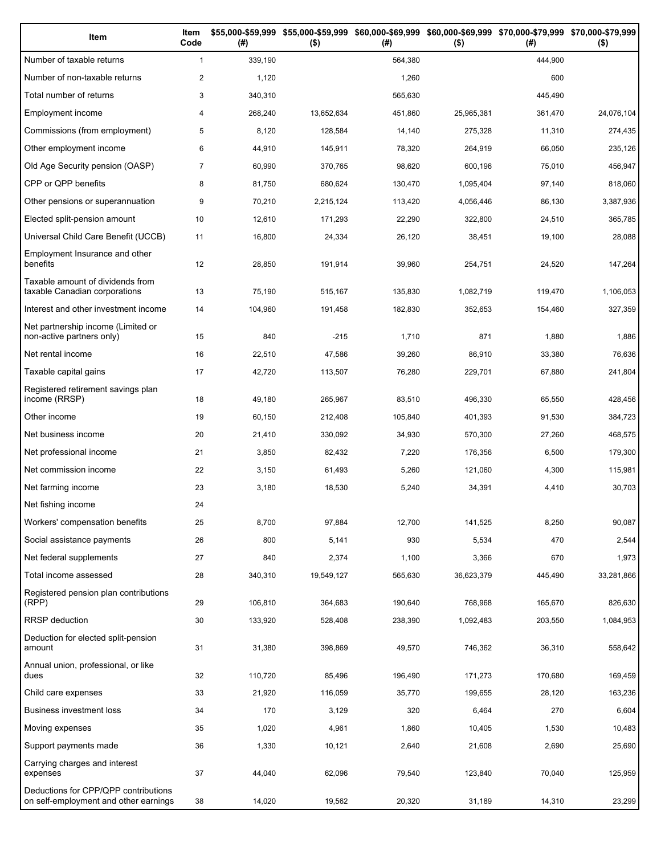| Item                                                                          | Item<br>Code   | (# )    | \$55,000-\$59,999 \$55,000-\$59,999<br>$($ \$) | (#)     | \$60,000-\$69,999 \$60,000-\$69,999 \$70,000-\$79,999 \$70,000-\$79,999<br>$($ \$) | (# )    | $($ \$)    |
|-------------------------------------------------------------------------------|----------------|---------|------------------------------------------------|---------|------------------------------------------------------------------------------------|---------|------------|
| Number of taxable returns                                                     | $\mathbf{1}$   | 339,190 |                                                | 564,380 |                                                                                    | 444,900 |            |
| Number of non-taxable returns                                                 | $\overline{c}$ | 1,120   |                                                | 1,260   |                                                                                    | 600     |            |
| Total number of returns                                                       | 3              | 340,310 |                                                | 565,630 |                                                                                    | 445,490 |            |
| Employment income                                                             | 4              | 268,240 | 13,652,634                                     | 451,860 | 25,965,381                                                                         | 361,470 | 24,076,104 |
| Commissions (from employment)                                                 | 5              | 8,120   | 128,584                                        | 14,140  | 275,328                                                                            | 11,310  | 274,435    |
| Other employment income                                                       | 6              | 44,910  | 145,911                                        | 78,320  | 264,919                                                                            | 66,050  | 235,126    |
| Old Age Security pension (OASP)                                               | $\overline{7}$ | 60,990  | 370,765                                        | 98,620  | 600,196                                                                            | 75,010  | 456,947    |
| CPP or QPP benefits                                                           | 8              | 81,750  | 680,624                                        | 130,470 | 1,095,404                                                                          | 97,140  | 818,060    |
| Other pensions or superannuation                                              | 9              | 70,210  | 2,215,124                                      | 113,420 | 4,056,446                                                                          | 86,130  | 3,387,936  |
| Elected split-pension amount                                                  | 10             | 12,610  | 171,293                                        | 22,290  | 322,800                                                                            | 24,510  | 365,785    |
| Universal Child Care Benefit (UCCB)                                           | 11             | 16,800  | 24,334                                         | 26,120  | 38,451                                                                             | 19,100  | 28,088     |
| Employment Insurance and other<br>benefits                                    | 12             | 28,850  | 191,914                                        | 39,960  | 254,751                                                                            | 24,520  | 147,264    |
| Taxable amount of dividends from<br>taxable Canadian corporations             | 13             | 75,190  | 515,167                                        | 135,830 | 1,082,719                                                                          | 119,470 | 1,106,053  |
| Interest and other investment income                                          | 14             | 104,960 | 191,458                                        | 182,830 | 352,653                                                                            | 154,460 | 327,359    |
| Net partnership income (Limited or<br>non-active partners only)               | 15             | 840     | $-215$                                         | 1,710   | 871                                                                                | 1,880   | 1,886      |
| Net rental income                                                             | 16             | 22,510  | 47,586                                         | 39,260  | 86,910                                                                             | 33,380  | 76,636     |
| Taxable capital gains                                                         | 17             | 42,720  | 113,507                                        | 76,280  | 229,701                                                                            | 67,880  | 241,804    |
| Registered retirement savings plan<br>income (RRSP)                           | 18             | 49,180  | 265,967                                        | 83,510  | 496,330                                                                            | 65,550  | 428,456    |
| Other income                                                                  | 19             | 60,150  | 212,408                                        | 105,840 | 401,393                                                                            | 91,530  | 384,723    |
| Net business income                                                           | 20             | 21,410  | 330,092                                        | 34,930  | 570,300                                                                            | 27,260  | 468,575    |
| Net professional income                                                       | 21             | 3,850   | 82,432                                         | 7,220   | 176,356                                                                            | 6,500   | 179,300    |
| Net commission income                                                         | 22             | 3,150   | 61,493                                         | 5,260   | 121,060                                                                            | 4,300   | 115,981    |
| Net farming income                                                            | 23             | 3,180   | 18,530                                         | 5,240   | 34,391                                                                             | 4,410   | 30,703     |
| Net fishing income                                                            | 24             |         |                                                |         |                                                                                    |         |            |
| Workers' compensation benefits                                                | 25             | 8,700   | 97,884                                         | 12,700  | 141,525                                                                            | 8,250   | 90,087     |
| Social assistance payments                                                    | 26             | 800     | 5,141                                          | 930     | 5,534                                                                              | 470     | 2,544      |
| Net federal supplements                                                       | 27             | 840     | 2,374                                          | 1,100   | 3,366                                                                              | 670     | 1,973      |
| Total income assessed                                                         | 28             | 340,310 | 19,549,127                                     | 565,630 | 36,623,379                                                                         | 445,490 | 33,281,866 |
| Registered pension plan contributions<br>(RPP)                                | 29             | 106,810 | 364,683                                        | 190,640 | 768,968                                                                            | 165,670 | 826,630    |
| <b>RRSP</b> deduction                                                         | 30             | 133,920 | 528,408                                        | 238,390 | 1,092,483                                                                          | 203,550 | 1,084,953  |
| Deduction for elected split-pension<br>amount                                 | 31             | 31,380  | 398,869                                        | 49,570  | 746,362                                                                            | 36,310  | 558,642    |
| Annual union, professional, or like<br>dues                                   | 32             | 110,720 | 85,496                                         | 196,490 | 171,273                                                                            | 170,680 | 169,459    |
| Child care expenses                                                           | 33             | 21,920  | 116,059                                        | 35,770  | 199,655                                                                            | 28,120  | 163,236    |
| Business investment loss                                                      | 34             | 170     | 3,129                                          | 320     | 6,464                                                                              | 270     | 6,604      |
| Moving expenses                                                               | 35             | 1,020   | 4,961                                          | 1,860   | 10,405                                                                             | 1,530   | 10,483     |
| Support payments made                                                         | 36             | 1,330   | 10,121                                         | 2,640   | 21,608                                                                             | 2,690   | 25,690     |
| Carrying charges and interest<br>expenses                                     | 37             | 44,040  | 62,096                                         | 79,540  | 123,840                                                                            | 70,040  | 125,959    |
| Deductions for CPP/QPP contributions<br>on self-employment and other earnings | 38             | 14,020  | 19,562                                         | 20,320  | 31,189                                                                             | 14,310  | 23,299     |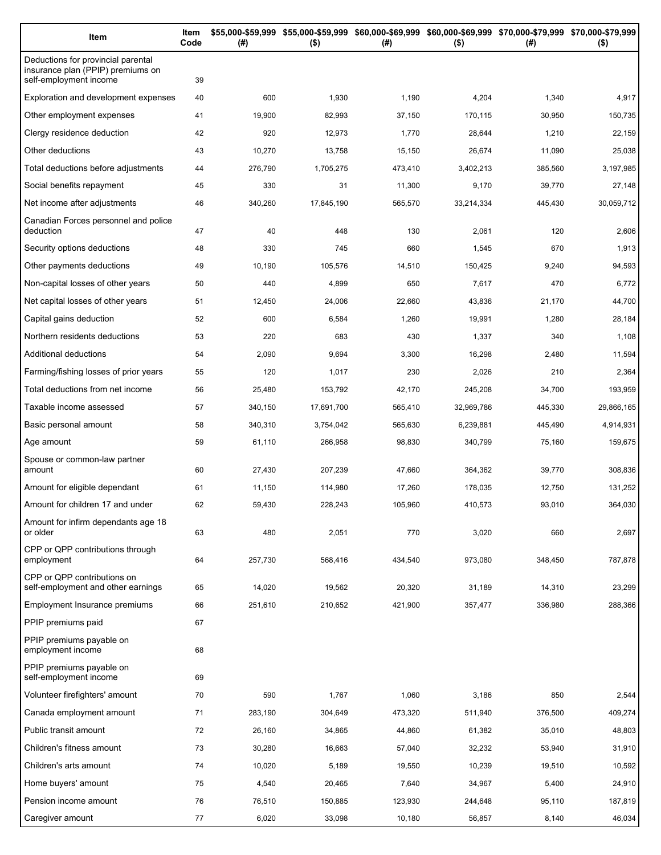| Item                                                                                              | Item<br>Code | (#)     | $($ \$)    | \$55,000-\$59,999 \$55,000-\$59,999 \$60,000-\$69,999 \$60,000-\$69,999 \$70,000-\$79,999 \$70,000-\$79,999<br>(#) | $($ \$)    | (# )    | $($ \$)    |
|---------------------------------------------------------------------------------------------------|--------------|---------|------------|--------------------------------------------------------------------------------------------------------------------|------------|---------|------------|
| Deductions for provincial parental<br>insurance plan (PPIP) premiums on<br>self-employment income | 39           |         |            |                                                                                                                    |            |         |            |
| Exploration and development expenses                                                              | 40           | 600     | 1,930      | 1,190                                                                                                              | 4,204      | 1,340   | 4,917      |
| Other employment expenses                                                                         | 41           | 19,900  | 82,993     | 37,150                                                                                                             | 170,115    | 30,950  | 150,735    |
| Clergy residence deduction                                                                        | 42           | 920     | 12,973     | 1,770                                                                                                              | 28,644     | 1,210   | 22,159     |
| Other deductions                                                                                  | 43           | 10,270  | 13,758     | 15,150                                                                                                             | 26,674     | 11,090  | 25,038     |
| Total deductions before adjustments                                                               | 44           | 276,790 | 1,705,275  | 473,410                                                                                                            | 3,402,213  | 385,560 | 3,197,985  |
| Social benefits repayment                                                                         | 45           | 330     | 31         | 11,300                                                                                                             | 9,170      | 39,770  | 27,148     |
| Net income after adjustments                                                                      | 46           | 340,260 | 17,845,190 | 565,570                                                                                                            | 33,214,334 | 445,430 | 30,059,712 |
| Canadian Forces personnel and police<br>deduction                                                 | 47           | 40      | 448        | 130                                                                                                                | 2,061      | 120     | 2,606      |
| Security options deductions                                                                       | 48           | 330     | 745        | 660                                                                                                                | 1,545      | 670     | 1,913      |
| Other payments deductions                                                                         | 49           | 10,190  | 105,576    | 14,510                                                                                                             | 150,425    | 9,240   | 94,593     |
| Non-capital losses of other years                                                                 | 50           | 440     | 4,899      | 650                                                                                                                | 7,617      | 470     | 6,772      |
| Net capital losses of other years                                                                 | 51           | 12,450  | 24,006     | 22,660                                                                                                             | 43,836     | 21,170  | 44,700     |
| Capital gains deduction                                                                           | 52           | 600     | 6,584      | 1,260                                                                                                              | 19,991     | 1,280   | 28,184     |
| Northern residents deductions                                                                     | 53           | 220     | 683        | 430                                                                                                                | 1,337      | 340     | 1,108      |
| Additional deductions                                                                             | 54           | 2,090   | 9,694      | 3,300                                                                                                              | 16,298     | 2,480   | 11,594     |
| Farming/fishing losses of prior years                                                             | 55           | 120     | 1,017      | 230                                                                                                                | 2,026      | 210     | 2,364      |
| Total deductions from net income                                                                  | 56           | 25,480  | 153,792    | 42,170                                                                                                             | 245,208    | 34,700  | 193,959    |
| Taxable income assessed                                                                           | 57           | 340,150 | 17,691,700 | 565,410                                                                                                            | 32,969,786 | 445,330 | 29,866,165 |
| Basic personal amount                                                                             | 58           | 340,310 | 3,754,042  | 565,630                                                                                                            | 6,239,881  | 445,490 | 4,914,931  |
| Age amount                                                                                        | 59           | 61,110  | 266,958    | 98,830                                                                                                             | 340,799    | 75,160  | 159,675    |
| Spouse or common-law partner<br>amount                                                            | 60           | 27,430  | 207,239    | 47,660                                                                                                             | 364,362    | 39,770  | 308,836    |
| Amount for eligible dependant                                                                     | 61           | 11,150  | 114,980    | 17,260                                                                                                             | 178,035    | 12,750  | 131,252    |
| Amount for children 17 and under                                                                  | 62           | 59,430  | 228,243    | 105,960                                                                                                            | 410,573    | 93,010  | 364,030    |
| Amount for infirm dependants age 18<br>or older                                                   | 63           | 480     | 2,051      | 770                                                                                                                | 3,020      | 660     | 2,697      |
| CPP or QPP contributions through<br>employment                                                    | 64           | 257,730 | 568,416    | 434,540                                                                                                            | 973,080    | 348,450 | 787,878    |
| CPP or QPP contributions on<br>self-employment and other earnings                                 | 65           | 14,020  | 19,562     | 20,320                                                                                                             | 31,189     | 14,310  | 23,299     |
| Employment Insurance premiums                                                                     | 66           | 251,610 | 210,652    | 421,900                                                                                                            | 357,477    | 336,980 | 288,366    |
| PPIP premiums paid                                                                                | 67           |         |            |                                                                                                                    |            |         |            |
| PPIP premiums payable on<br>employment income                                                     | 68           |         |            |                                                                                                                    |            |         |            |
| PPIP premiums payable on<br>self-employment income                                                | 69           |         |            |                                                                                                                    |            |         |            |
| Volunteer firefighters' amount                                                                    | 70           | 590     | 1,767      | 1,060                                                                                                              | 3,186      | 850     | 2,544      |
| Canada employment amount                                                                          | 71           | 283,190 | 304,649    | 473,320                                                                                                            | 511,940    | 376,500 | 409,274    |
| Public transit amount                                                                             | 72           | 26,160  | 34,865     | 44,860                                                                                                             | 61,382     | 35,010  | 48,803     |
| Children's fitness amount                                                                         | 73           | 30,280  | 16,663     | 57,040                                                                                                             | 32,232     | 53,940  | 31,910     |
| Children's arts amount                                                                            | 74           | 10,020  | 5,189      | 19,550                                                                                                             | 10,239     | 19,510  | 10,592     |
| Home buyers' amount                                                                               | 75           | 4,540   | 20,465     | 7,640                                                                                                              | 34,967     | 5,400   | 24,910     |
| Pension income amount                                                                             | 76           | 76,510  | 150,885    | 123,930                                                                                                            | 244,648    | 95,110  | 187,819    |
| Caregiver amount                                                                                  | 77           | 6,020   | 33,098     | 10,180                                                                                                             | 56,857     | 8,140   | 46,034     |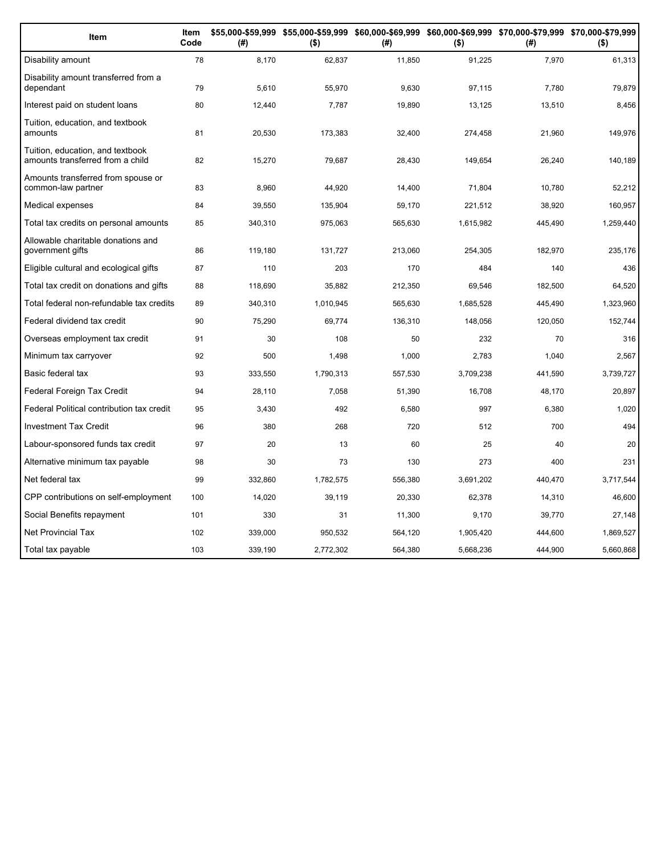| Item                                                                 | Item<br>Code | (#)     | \$55,000-\$59,999 \$55,000-\$59,999 \$60,000-\$69,999 \$60,000-\$69,999 \$70,000-\$79,999 \$70,000-\$79,999<br>$($ \$) | (#)     | $($ \$)   | (#)     | $($ \$)   |
|----------------------------------------------------------------------|--------------|---------|------------------------------------------------------------------------------------------------------------------------|---------|-----------|---------|-----------|
| Disability amount                                                    | 78           | 8,170   | 62,837                                                                                                                 | 11,850  | 91,225    | 7,970   | 61,313    |
| Disability amount transferred from a<br>dependant                    | 79           | 5,610   | 55,970                                                                                                                 | 9.630   | 97,115    | 7,780   | 79,879    |
| Interest paid on student loans                                       | 80           | 12,440  | 7,787                                                                                                                  | 19,890  | 13,125    | 13,510  | 8,456     |
| Tuition, education, and textbook<br>amounts                          | 81           | 20,530  | 173,383                                                                                                                | 32,400  | 274,458   | 21,960  | 149,976   |
| Tuition, education, and textbook<br>amounts transferred from a child | 82           | 15,270  | 79,687                                                                                                                 | 28,430  | 149,654   | 26,240  | 140,189   |
| Amounts transferred from spouse or<br>common-law partner             | 83           | 8,960   | 44,920                                                                                                                 | 14,400  | 71,804    | 10,780  | 52,212    |
| Medical expenses                                                     | 84           | 39,550  | 135,904                                                                                                                | 59,170  | 221,512   | 38,920  | 160,957   |
| Total tax credits on personal amounts                                | 85           | 340,310 | 975,063                                                                                                                | 565,630 | 1,615,982 | 445,490 | 1,259,440 |
| Allowable charitable donations and<br>government gifts               | 86           | 119,180 | 131,727                                                                                                                | 213,060 | 254,305   | 182,970 | 235,176   |
| Eligible cultural and ecological gifts                               | 87           | 110     | 203                                                                                                                    | 170     | 484       | 140     | 436       |
| Total tax credit on donations and gifts                              | 88           | 118,690 | 35,882                                                                                                                 | 212,350 | 69,546    | 182,500 | 64,520    |
| Total federal non-refundable tax credits                             | 89           | 340,310 | 1,010,945                                                                                                              | 565,630 | 1,685,528 | 445,490 | 1,323,960 |
| Federal dividend tax credit                                          | 90           | 75,290  | 69,774                                                                                                                 | 136,310 | 148,056   | 120,050 | 152,744   |
| Overseas employment tax credit                                       | 91           | 30      | 108                                                                                                                    | 50      | 232       | 70      | 316       |
| Minimum tax carryover                                                | 92           | 500     | 1,498                                                                                                                  | 1,000   | 2,783     | 1,040   | 2,567     |
| Basic federal tax                                                    | 93           | 333,550 | 1,790,313                                                                                                              | 557,530 | 3,709,238 | 441,590 | 3,739,727 |
| Federal Foreign Tax Credit                                           | 94           | 28,110  | 7,058                                                                                                                  | 51,390  | 16,708    | 48,170  | 20,897    |
| Federal Political contribution tax credit                            | 95           | 3,430   | 492                                                                                                                    | 6,580   | 997       | 6,380   | 1,020     |
| <b>Investment Tax Credit</b>                                         | 96           | 380     | 268                                                                                                                    | 720     | 512       | 700     | 494       |
| Labour-sponsored funds tax credit                                    | 97           | 20      | 13                                                                                                                     | 60      | 25        | 40      | 20        |
| Alternative minimum tax payable                                      | 98           | 30      | 73                                                                                                                     | 130     | 273       | 400     | 231       |
| Net federal tax                                                      | 99           | 332,860 | 1,782,575                                                                                                              | 556,380 | 3,691,202 | 440,470 | 3,717,544 |
| CPP contributions on self-employment                                 | 100          | 14,020  | 39.119                                                                                                                 | 20,330  | 62,378    | 14,310  | 46,600    |
| Social Benefits repayment                                            | 101          | 330     | 31                                                                                                                     | 11,300  | 9,170     | 39,770  | 27,148    |
| <b>Net Provincial Tax</b>                                            | 102          | 339,000 | 950,532                                                                                                                | 564,120 | 1,905,420 | 444,600 | 1,869,527 |
| Total tax payable                                                    | 103          | 339,190 | 2,772,302                                                                                                              | 564,380 | 5,668,236 | 444,900 | 5,660,868 |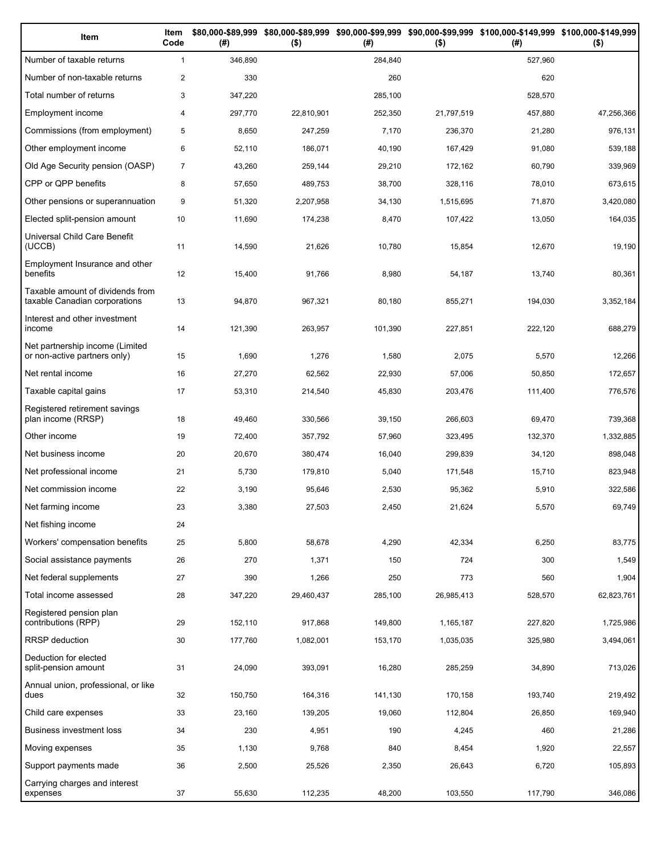| Item                                                              | Item<br>Code   | (# )    | $($ \$)    | (#)     | $($ \$)    | \$80,000-\$89,999 \$80,000-\$89,999 \$90,000-\$99,999 \$90,000-\$99,999 \$100,000-\$149,999 \$100,000-\$149,999<br>(#) | $($ \$)    |
|-------------------------------------------------------------------|----------------|---------|------------|---------|------------|------------------------------------------------------------------------------------------------------------------------|------------|
| Number of taxable returns                                         | $\mathbf{1}$   | 346,890 |            | 284,840 |            | 527,960                                                                                                                |            |
| Number of non-taxable returns                                     | $\overline{2}$ | 330     |            | 260     |            | 620                                                                                                                    |            |
| Total number of returns                                           | 3              | 347,220 |            | 285,100 |            | 528,570                                                                                                                |            |
| Employment income                                                 | 4              | 297,770 | 22,810,901 | 252,350 | 21,797,519 | 457,880                                                                                                                | 47,256,366 |
| Commissions (from employment)                                     | 5              | 8,650   | 247,259    | 7,170   | 236,370    | 21,280                                                                                                                 | 976,131    |
| Other employment income                                           | 6              | 52,110  | 186,071    | 40,190  | 167,429    | 91,080                                                                                                                 | 539,188    |
| Old Age Security pension (OASP)                                   | $\overline{7}$ | 43,260  | 259,144    | 29,210  | 172,162    | 60,790                                                                                                                 | 339,969    |
| CPP or QPP benefits                                               | 8              | 57,650  | 489,753    | 38,700  | 328,116    | 78,010                                                                                                                 | 673,615    |
| Other pensions or superannuation                                  | 9              | 51,320  | 2,207,958  | 34,130  | 1,515,695  | 71,870                                                                                                                 | 3,420,080  |
| Elected split-pension amount                                      | 10             | 11,690  | 174,238    | 8,470   | 107,422    | 13,050                                                                                                                 | 164,035    |
| Universal Child Care Benefit<br>(UCCB)                            | 11             | 14,590  | 21,626     | 10,780  | 15,854     | 12,670                                                                                                                 | 19,190     |
| Employment Insurance and other<br>benefits                        | 12             | 15,400  | 91,766     | 8,980   | 54,187     | 13,740                                                                                                                 | 80,361     |
| Taxable amount of dividends from<br>taxable Canadian corporations | 13             | 94,870  | 967,321    | 80,180  | 855,271    | 194,030                                                                                                                | 3,352,184  |
| Interest and other investment<br>income                           | 14             | 121,390 | 263,957    | 101,390 | 227,851    | 222,120                                                                                                                | 688,279    |
| Net partnership income (Limited<br>or non-active partners only)   | 15             | 1,690   | 1,276      | 1,580   | 2,075      | 5,570                                                                                                                  | 12,266     |
| Net rental income                                                 | 16             | 27,270  | 62,562     | 22,930  | 57,006     | 50,850                                                                                                                 | 172,657    |
| Taxable capital gains                                             | 17             | 53,310  | 214,540    | 45,830  | 203,476    | 111,400                                                                                                                | 776,576    |
| Registered retirement savings<br>plan income (RRSP)               | 18             | 49,460  | 330,566    | 39,150  | 266,603    | 69,470                                                                                                                 | 739,368    |
| Other income                                                      | 19             | 72,400  | 357,792    | 57,960  | 323,495    | 132,370                                                                                                                | 1,332,885  |
| Net business income                                               | 20             | 20,670  | 380,474    | 16,040  | 299,839    | 34,120                                                                                                                 | 898,048    |
| Net professional income                                           | 21             | 5,730   | 179,810    | 5,040   | 171,548    | 15,710                                                                                                                 | 823,948    |
| Net commission income                                             | 22             | 3,190   | 95,646     | 2,530   | 95,362     | 5,910                                                                                                                  | 322,586    |
| Net farming income                                                | 23             | 3,380   | 27,503     | 2,450   | 21,624     | 5,570                                                                                                                  | 69,749     |
| Net fishing income                                                | 24             |         |            |         |            |                                                                                                                        |            |
| Workers' compensation benefits                                    | 25             | 5,800   | 58,678     | 4,290   | 42,334     | 6,250                                                                                                                  | 83,775     |
| Social assistance payments                                        | 26             | 270     | 1,371      | 150     | 724        | 300                                                                                                                    | 1,549      |
| Net federal supplements                                           | 27             | 390     | 1,266      | 250     | 773        | 560                                                                                                                    | 1,904      |
| Total income assessed                                             | 28             | 347,220 | 29,460,437 | 285,100 | 26,985,413 | 528,570                                                                                                                | 62,823,761 |
| Registered pension plan<br>contributions (RPP)                    | 29             | 152,110 | 917,868    | 149,800 | 1,165,187  | 227,820                                                                                                                | 1,725,986  |
| <b>RRSP</b> deduction                                             | 30             | 177,760 | 1,082,001  | 153,170 | 1,035,035  | 325,980                                                                                                                | 3,494,061  |
| Deduction for elected<br>split-pension amount                     | 31             | 24,090  | 393,091    | 16,280  | 285,259    | 34,890                                                                                                                 | 713,026    |
| Annual union, professional, or like<br>dues                       | 32             | 150,750 | 164,316    | 141,130 | 170,158    | 193,740                                                                                                                | 219,492    |
| Child care expenses                                               | 33             | 23,160  | 139,205    | 19,060  | 112,804    | 26,850                                                                                                                 | 169,940    |
| Business investment loss                                          | 34             | 230     | 4,951      | 190     | 4,245      | 460                                                                                                                    | 21,286     |
| Moving expenses                                                   | 35             | 1,130   | 9,768      | 840     | 8,454      | 1,920                                                                                                                  | 22,557     |
| Support payments made                                             | 36             | 2,500   | 25,526     | 2,350   | 26,643     | 6,720                                                                                                                  | 105,893    |
| Carrying charges and interest<br>expenses                         | 37             | 55,630  | 112,235    | 48,200  | 103,550    | 117,790                                                                                                                | 346,086    |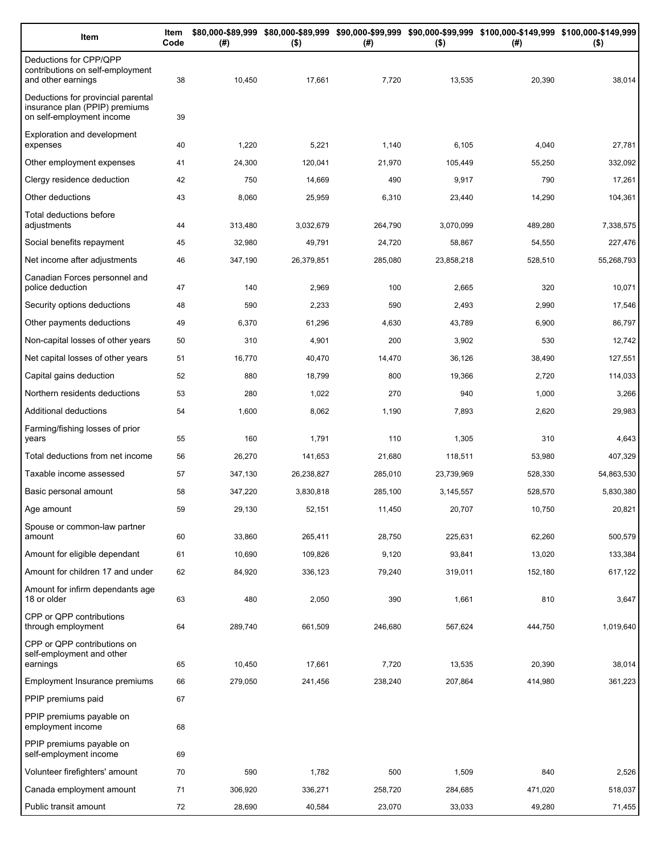| Item                                                                                              | Item<br>Code | (#)     | $($ \$)    | (#)     | $($ \$)    | \$80,000-\$89,999 \$80,000-\$89,999 \$90,000-\$99,999 \$90,000-\$99,999 \$100,000-\$149,999 \$100,000-\$149,999<br>(# ) | $($ \$)    |
|---------------------------------------------------------------------------------------------------|--------------|---------|------------|---------|------------|-------------------------------------------------------------------------------------------------------------------------|------------|
| Deductions for CPP/QPP<br>contributions on self-employment<br>and other earnings                  | 38           | 10,450  | 17,661     | 7,720   | 13,535     | 20,390                                                                                                                  | 38,014     |
| Deductions for provincial parental<br>insurance plan (PPIP) premiums<br>on self-employment income | 39           |         |            |         |            |                                                                                                                         |            |
| <b>Exploration and development</b><br>expenses                                                    | 40           | 1,220   | 5,221      | 1,140   | 6,105      | 4,040                                                                                                                   | 27,781     |
| Other employment expenses                                                                         | 41           | 24,300  | 120,041    | 21,970  | 105,449    | 55,250                                                                                                                  | 332,092    |
| Clergy residence deduction                                                                        | 42           | 750     | 14,669     | 490     | 9,917      | 790                                                                                                                     | 17,261     |
| Other deductions                                                                                  | 43           | 8,060   | 25,959     | 6,310   | 23,440     | 14,290                                                                                                                  | 104,361    |
| Total deductions before<br>adjustments                                                            | 44           | 313,480 | 3,032,679  | 264,790 | 3,070,099  | 489,280                                                                                                                 | 7,338,575  |
| Social benefits repayment                                                                         | 45           | 32,980  | 49,791     | 24,720  | 58,867     | 54,550                                                                                                                  | 227,476    |
| Net income after adjustments                                                                      | 46           | 347,190 | 26,379,851 | 285,080 | 23,858,218 | 528,510                                                                                                                 | 55,268,793 |
| Canadian Forces personnel and<br>police deduction                                                 | 47           | 140     | 2,969      | 100     | 2,665      | 320                                                                                                                     | 10,071     |
| Security options deductions                                                                       | 48           | 590     | 2,233      | 590     | 2,493      | 2,990                                                                                                                   | 17,546     |
| Other payments deductions                                                                         | 49           | 6,370   | 61,296     | 4,630   | 43,789     | 6,900                                                                                                                   | 86,797     |
| Non-capital losses of other years                                                                 | 50           | 310     | 4,901      | 200     | 3,902      | 530                                                                                                                     | 12,742     |
| Net capital losses of other years                                                                 | 51           | 16,770  | 40,470     | 14,470  | 36,126     | 38,490                                                                                                                  | 127,551    |
| Capital gains deduction                                                                           | 52           | 880     | 18,799     | 800     | 19,366     | 2,720                                                                                                                   | 114,033    |
| Northern residents deductions                                                                     | 53           | 280     | 1,022      | 270     | 940        | 1,000                                                                                                                   | 3,266      |
| Additional deductions                                                                             | 54           | 1,600   | 8,062      | 1,190   | 7,893      | 2,620                                                                                                                   | 29,983     |
| Farming/fishing losses of prior<br>years                                                          | 55           | 160     | 1,791      | 110     | 1,305      | 310                                                                                                                     | 4,643      |
| Total deductions from net income                                                                  | 56           | 26,270  | 141,653    | 21,680  | 118,511    | 53,980                                                                                                                  | 407,329    |
| Taxable income assessed                                                                           | 57           | 347,130 | 26,238,827 | 285,010 | 23,739,969 | 528,330                                                                                                                 | 54,863,530 |
| Basic personal amount                                                                             | 58           | 347,220 | 3,830,818  | 285,100 | 3,145,557  | 528,570                                                                                                                 | 5,830,380  |
| Age amount                                                                                        | 59           | 29,130  | 52,151     | 11,450  | 20,707     | 10,750                                                                                                                  | 20,821     |
| Spouse or common-law partner<br>amount                                                            | 60           | 33,860  | 265,411    | 28,750  | 225,631    | 62,260                                                                                                                  | 500,579    |
| Amount for eligible dependant                                                                     | 61           | 10,690  | 109,826    | 9,120   | 93,841     | 13,020                                                                                                                  | 133,384    |
| Amount for children 17 and under                                                                  | 62           | 84,920  | 336,123    | 79,240  | 319,011    | 152,180                                                                                                                 | 617,122    |
| Amount for infirm dependants age<br>18 or older                                                   | 63           | 480     | 2,050      | 390     | 1,661      | 810                                                                                                                     | 3,647      |
| CPP or QPP contributions<br>through employment                                                    | 64           | 289,740 | 661,509    | 246,680 | 567,624    | 444,750                                                                                                                 | 1,019,640  |
| CPP or QPP contributions on<br>self-employment and other                                          |              |         |            |         |            |                                                                                                                         |            |
| earnings                                                                                          | 65           | 10,450  | 17,661     | 7,720   | 13,535     | 20,390                                                                                                                  | 38,014     |
| Employment Insurance premiums                                                                     | 66           | 279,050 | 241,456    | 238,240 | 207,864    | 414,980                                                                                                                 | 361,223    |
| PPIP premiums paid                                                                                | 67           |         |            |         |            |                                                                                                                         |            |
| PPIP premiums payable on<br>employment income                                                     | 68           |         |            |         |            |                                                                                                                         |            |
| PPIP premiums payable on<br>self-employment income                                                | 69           |         |            |         |            |                                                                                                                         |            |
| Volunteer firefighters' amount                                                                    | 70           | 590     | 1,782      | 500     | 1,509      | 840                                                                                                                     | 2,526      |
| Canada employment amount                                                                          | 71           | 306,920 | 336,271    | 258,720 | 284,685    | 471,020                                                                                                                 | 518,037    |
| Public transit amount                                                                             | 72           | 28,690  | 40,584     | 23,070  | 33,033     | 49,280                                                                                                                  | 71,455     |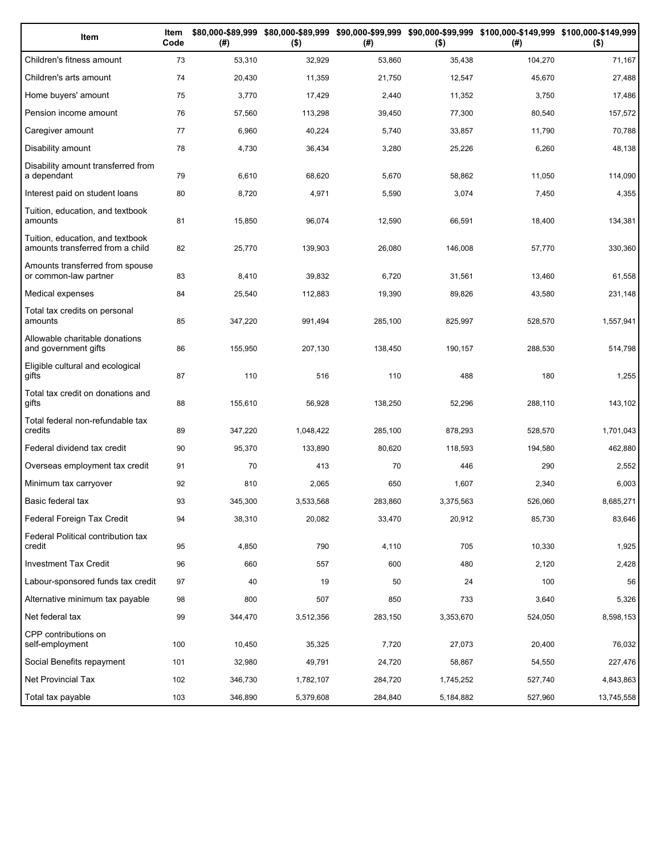| Item                                                                 | Item<br>Code | (# )    | $($ \$)   | (#)     | $($ \$)   | \$80,000-\$89,999 \$80,000-\$89,999 \$90,000-\$99,999 \$90,000-\$99,999 \$100,000-\$149,999 \$100,000-\$149,999<br>(#) | $($ \$)    |
|----------------------------------------------------------------------|--------------|---------|-----------|---------|-----------|------------------------------------------------------------------------------------------------------------------------|------------|
| Children's fitness amount                                            | 73           | 53,310  | 32,929    | 53,860  | 35,438    | 104,270                                                                                                                | 71,167     |
| Children's arts amount                                               | 74           | 20,430  | 11,359    | 21,750  | 12,547    | 45,670                                                                                                                 | 27,488     |
| Home buyers' amount                                                  | 75           | 3,770   | 17,429    | 2,440   | 11,352    | 3,750                                                                                                                  | 17,486     |
| Pension income amount                                                | 76           | 57,560  | 113,298   | 39,450  | 77,300    | 80,540                                                                                                                 | 157,572    |
| Caregiver amount                                                     | 77           | 6,960   | 40,224    | 5,740   | 33,857    | 11,790                                                                                                                 | 70,788     |
| Disability amount                                                    | 78           | 4,730   | 36,434    | 3,280   | 25,226    | 6,260                                                                                                                  | 48,138     |
| Disability amount transferred from<br>a dependant                    | 79           | 6,610   | 68,620    | 5,670   | 58,862    | 11,050                                                                                                                 | 114,090    |
| Interest paid on student loans                                       | 80           | 8,720   | 4,971     | 5,590   | 3,074     | 7,450                                                                                                                  | 4,355      |
| Tuition, education, and textbook<br>amounts                          | 81           | 15,850  | 96,074    | 12,590  | 66,591    | 18,400                                                                                                                 | 134,381    |
| Tuition, education, and textbook<br>amounts transferred from a child | 82           | 25,770  | 139,903   | 26,080  | 146,008   | 57,770                                                                                                                 | 330,360    |
| Amounts transferred from spouse<br>or common-law partner             | 83           | 8,410   | 39,832    | 6,720   | 31,561    | 13,460                                                                                                                 | 61,558     |
| Medical expenses                                                     | 84           | 25,540  | 112,883   | 19,390  | 89,826    | 43,580                                                                                                                 | 231,148    |
| Total tax credits on personal<br>amounts                             | 85           | 347,220 | 991,494   | 285,100 | 825,997   | 528,570                                                                                                                | 1,557,941  |
| Allowable charitable donations<br>and government gifts               | 86           | 155,950 | 207,130   | 138,450 | 190,157   | 288,530                                                                                                                | 514,798    |
| Eligible cultural and ecological<br>gifts                            | 87           | 110     | 516       | 110     | 488       | 180                                                                                                                    | 1,255      |
| Total tax credit on donations and<br>gifts                           | 88           | 155,610 | 56,928    | 138,250 | 52,296    | 288,110                                                                                                                | 143,102    |
| Total federal non-refundable tax<br>credits                          | 89           | 347,220 | 1,048,422 | 285,100 | 878,293   | 528,570                                                                                                                | 1,701,043  |
| Federal dividend tax credit                                          | 90           | 95,370  | 133,890   | 80,620  | 118,593   | 194,580                                                                                                                | 462,880    |
| Overseas employment tax credit                                       | 91           | 70      | 413       | 70      | 446       | 290                                                                                                                    | 2,552      |
| Minimum tax carryover                                                | 92           | 810     | 2,065     | 650     | 1,607     | 2,340                                                                                                                  | 6,003      |
| Basic federal tax                                                    | 93           | 345,300 | 3,533,568 | 283,860 | 3,375,563 | 526,060                                                                                                                | 8,685,271  |
| Federal Foreign Tax Credit                                           | 94           | 38,310  | 20,082    | 33,470  | 20,912    | 85,730                                                                                                                 | 83,646     |
| Federal Political contribution tax<br>credit                         | 95           | 4,850   | 790       | 4,110   | 705       | 10,330                                                                                                                 | 1,925      |
| <b>Investment Tax Credit</b>                                         | 96           | 660     | 557       | 600     | 480       | 2,120                                                                                                                  | 2,428      |
| Labour-sponsored funds tax credit                                    | 97           | 40      | 19        | 50      | 24        | 100                                                                                                                    | 56         |
| Alternative minimum tax payable                                      | 98           | 800     | 507       | 850     | 733       | 3,640                                                                                                                  | 5,326      |
| Net federal tax                                                      | 99           | 344,470 | 3,512,356 | 283,150 | 3,353,670 | 524,050                                                                                                                | 8,598,153  |
| CPP contributions on<br>self-employment                              | 100          | 10,450  | 35,325    | 7,720   | 27,073    | 20,400                                                                                                                 | 76,032     |
| Social Benefits repayment                                            | 101          | 32,980  | 49,791    | 24,720  | 58,867    | 54,550                                                                                                                 | 227,476    |
| Net Provincial Tax                                                   | 102          | 346,730 | 1,782,107 | 284,720 | 1,745,252 | 527,740                                                                                                                | 4,843,863  |
| Total tax payable                                                    | 103          | 346,890 | 5,379,608 | 284,840 | 5,184,882 | 527,960                                                                                                                | 13,745,558 |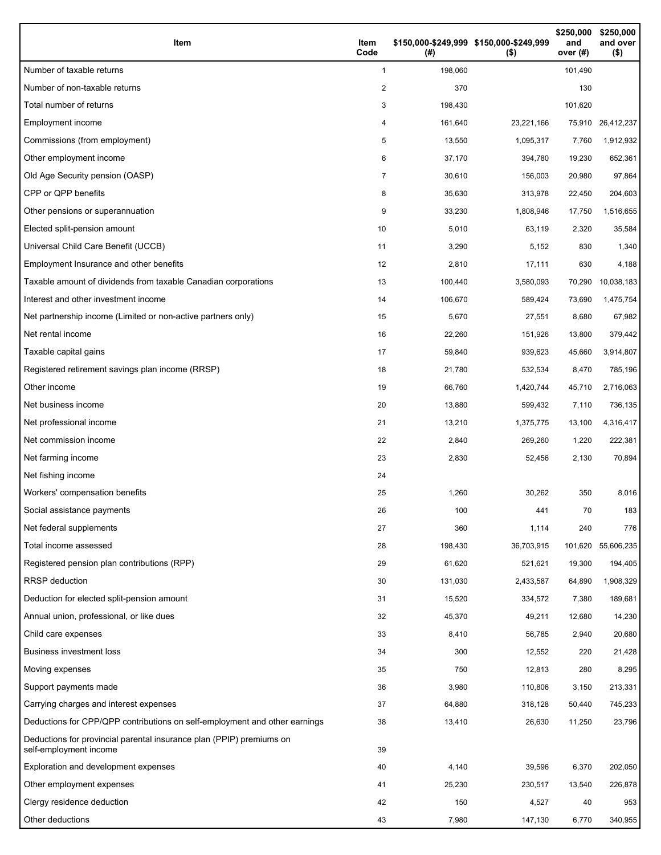| Item                                                                                           | Item<br>Code   | \$150,000-\$249,999 \$150,000-\$249,999<br>(#) | $($ \$)    | \$250,000<br>and<br>over $(#)$ | \$250,000<br>and over<br>$($ \$) |
|------------------------------------------------------------------------------------------------|----------------|------------------------------------------------|------------|--------------------------------|----------------------------------|
| Number of taxable returns                                                                      | 1              | 198,060                                        |            | 101,490                        |                                  |
| Number of non-taxable returns                                                                  | 2              | 370                                            |            | 130                            |                                  |
| Total number of returns                                                                        | 3              | 198,430                                        |            | 101,620                        |                                  |
| Employment income                                                                              | 4              | 161,640                                        | 23,221,166 | 75,910                         | 26,412,237                       |
| Commissions (from employment)                                                                  | 5              | 13,550                                         | 1,095,317  | 7,760                          | 1,912,932                        |
| Other employment income                                                                        | 6              | 37,170                                         | 394,780    | 19,230                         | 652,361                          |
| Old Age Security pension (OASP)                                                                | $\overline{7}$ | 30,610                                         | 156,003    | 20,980                         | 97,864                           |
| CPP or QPP benefits                                                                            | 8              | 35,630                                         | 313,978    | 22,450                         | 204,603                          |
| Other pensions or superannuation                                                               | 9              | 33,230                                         | 1,808,946  | 17,750                         | 1,516,655                        |
| Elected split-pension amount                                                                   | 10             | 5,010                                          | 63,119     | 2,320                          | 35,584                           |
| Universal Child Care Benefit (UCCB)                                                            | 11             | 3,290                                          | 5,152      | 830                            | 1,340                            |
| Employment Insurance and other benefits                                                        | 12             | 2,810                                          | 17,111     | 630                            | 4,188                            |
| Taxable amount of dividends from taxable Canadian corporations                                 | 13             | 100,440                                        | 3,580,093  | 70,290                         | 10,038,183                       |
| Interest and other investment income                                                           | 14             | 106,670                                        | 589,424    | 73,690                         | 1,475,754                        |
| Net partnership income (Limited or non-active partners only)                                   | 15             | 5,670                                          | 27,551     | 8,680                          | 67,982                           |
| Net rental income                                                                              | 16             | 22,260                                         | 151,926    | 13,800                         | 379,442                          |
| Taxable capital gains                                                                          | 17             | 59,840                                         | 939,623    | 45,660                         | 3,914,807                        |
| Registered retirement savings plan income (RRSP)                                               | 18             | 21,780                                         | 532,534    | 8,470                          | 785,196                          |
| Other income                                                                                   | 19             | 66,760                                         | 1,420,744  | 45,710                         | 2,716,063                        |
| Net business income                                                                            | 20             | 13,880                                         | 599,432    | 7,110                          | 736,135                          |
| Net professional income                                                                        | 21             | 13,210                                         | 1,375,775  | 13,100                         | 4,316,417                        |
| Net commission income                                                                          | 22             | 2,840                                          | 269,260    | 1,220                          | 222,381                          |
| Net farming income                                                                             | 23             | 2,830                                          | 52,456     | 2,130                          | 70,894                           |
| Net fishing income                                                                             | 24             |                                                |            |                                |                                  |
| Workers' compensation benefits                                                                 | 25             | 1,260                                          | 30,262     | 350                            | 8,016                            |
| Social assistance payments                                                                     | 26             | 100                                            | 441        | 70                             | 183                              |
| Net federal supplements                                                                        | 27             | 360                                            | 1,114      | 240                            | 776                              |
| Total income assessed                                                                          | 28             | 198,430                                        | 36,703,915 | 101,620                        | 55,606,235                       |
| Registered pension plan contributions (RPP)                                                    | 29             | 61,620                                         | 521,621    | 19,300                         | 194,405                          |
| RRSP deduction                                                                                 | 30             | 131,030                                        | 2,433,587  | 64,890                         | 1,908,329                        |
| Deduction for elected split-pension amount                                                     | 31             | 15,520                                         | 334,572    | 7,380                          | 189,681                          |
| Annual union, professional, or like dues                                                       | 32             | 45,370                                         | 49,211     | 12,680                         | 14,230                           |
| Child care expenses                                                                            | 33             | 8,410                                          | 56,785     | 2,940                          | 20,680                           |
| Business investment loss                                                                       | 34             | 300                                            | 12,552     | 220                            | 21,428                           |
| Moving expenses                                                                                | 35             | 750                                            | 12,813     | 280                            | 8,295                            |
| Support payments made                                                                          | 36             | 3,980                                          | 110,806    | 3,150                          | 213,331                          |
| Carrying charges and interest expenses                                                         | 37             | 64,880                                         | 318,128    | 50,440                         | 745,233                          |
| Deductions for CPP/QPP contributions on self-employment and other earnings                     | 38             | 13,410                                         | 26,630     | 11,250                         | 23,796                           |
| Deductions for provincial parental insurance plan (PPIP) premiums on<br>self-employment income | 39             |                                                |            |                                |                                  |
| Exploration and development expenses                                                           | 40             | 4,140                                          | 39,596     | 6,370                          | 202,050                          |
| Other employment expenses                                                                      | 41             | 25,230                                         | 230,517    | 13,540                         | 226,878                          |
| Clergy residence deduction                                                                     | 42             | 150                                            | 4,527      | 40                             | 953                              |
| Other deductions                                                                               | 43             | 7,980                                          | 147,130    | 6,770                          | 340,955                          |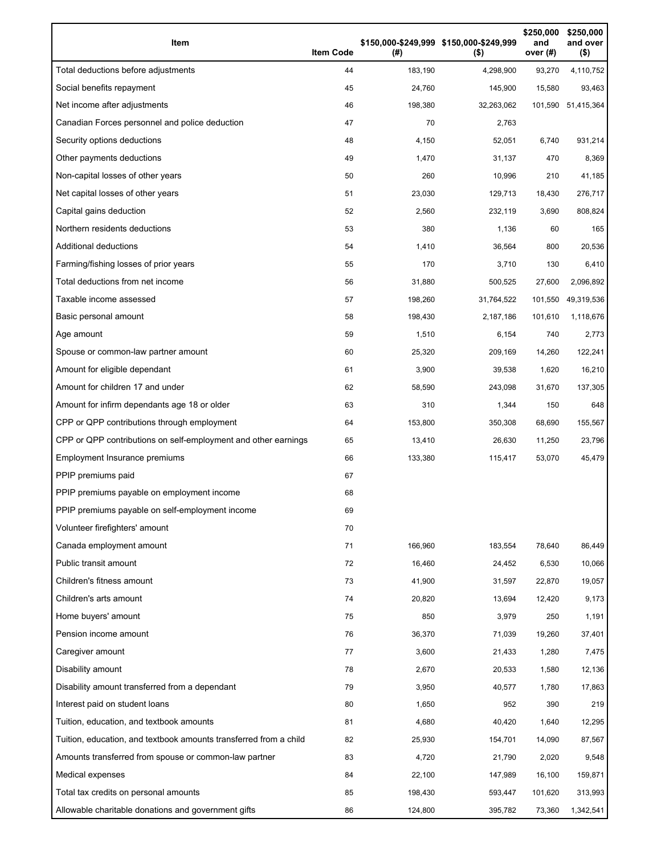| Item                                                              | <b>Item Code</b> | (#)     | \$150,000-\$249,999 \$150,000-\$249,999<br>$($ \$) | \$250,000<br>and<br>over $(H)$ | \$250,000<br>and over<br>$($ \$) |
|-------------------------------------------------------------------|------------------|---------|----------------------------------------------------|--------------------------------|----------------------------------|
| Total deductions before adjustments                               | 44               | 183,190 | 4,298,900                                          | 93,270                         | 4,110,752                        |
| Social benefits repayment                                         | 45               | 24,760  | 145,900                                            | 15,580                         | 93,463                           |
| Net income after adjustments                                      | 46               | 198,380 | 32,263,062                                         |                                | 101,590 51,415,364               |
| Canadian Forces personnel and police deduction                    | 47               | 70      | 2,763                                              |                                |                                  |
| Security options deductions                                       | 48               | 4,150   | 52,051                                             | 6,740                          | 931,214                          |
| Other payments deductions                                         | 49               | 1,470   | 31,137                                             | 470                            | 8,369                            |
| Non-capital losses of other years                                 | 50               | 260     | 10,996                                             | 210                            | 41,185                           |
| Net capital losses of other years                                 | 51               | 23,030  | 129,713                                            | 18,430                         | 276,717                          |
| Capital gains deduction                                           | 52               | 2,560   | 232,119                                            | 3,690                          | 808,824                          |
| Northern residents deductions                                     | 53               | 380     | 1,136                                              | 60                             | 165                              |
| Additional deductions                                             | 54               | 1,410   | 36.564                                             | 800                            | 20,536                           |
| Farming/fishing losses of prior years                             | 55               | 170     | 3,710                                              | 130                            | 6,410                            |
| Total deductions from net income                                  | 56               | 31,880  | 500,525                                            | 27,600                         | 2,096,892                        |
| Taxable income assessed                                           | 57               | 198,260 | 31,764,522                                         | 101,550                        | 49,319,536                       |
| Basic personal amount                                             | 58               | 198,430 | 2,187,186                                          | 101,610                        | 1,118,676                        |
| Age amount                                                        | 59               | 1,510   | 6,154                                              | 740                            | 2,773                            |
| Spouse or common-law partner amount                               | 60               | 25,320  | 209,169                                            | 14,260                         | 122,241                          |
| Amount for eligible dependant                                     | 61               | 3,900   | 39,538                                             | 1,620                          | 16,210                           |
| Amount for children 17 and under                                  | 62               | 58,590  | 243,098                                            | 31,670                         | 137,305                          |
| Amount for infirm dependants age 18 or older                      | 63               | 310     | 1,344                                              | 150                            | 648                              |
| CPP or QPP contributions through employment                       | 64               | 153,800 | 350,308                                            | 68,690                         | 155,567                          |
| CPP or QPP contributions on self-employment and other earnings    | 65               | 13,410  | 26,630                                             | 11,250                         | 23,796                           |
| Employment Insurance premiums                                     | 66               | 133,380 | 115,417                                            | 53,070                         | 45,479                           |
| PPIP premiums paid                                                | 67               |         |                                                    |                                |                                  |
| PPIP premiums payable on employment income                        | 68               |         |                                                    |                                |                                  |
| PPIP premiums payable on self-employment income                   | 69               |         |                                                    |                                |                                  |
| Volunteer firefighters' amount                                    | 70               |         |                                                    |                                |                                  |
| Canada employment amount                                          | 71               | 166,960 | 183,554                                            | 78,640                         | 86,449                           |
| Public transit amount                                             | 72               | 16,460  | 24,452                                             | 6,530                          | 10,066                           |
| Children's fitness amount                                         | 73               | 41,900  | 31,597                                             | 22,870                         | 19,057                           |
| Children's arts amount                                            | 74               | 20,820  | 13,694                                             | 12,420                         | 9,173                            |
| Home buyers' amount                                               | 75               | 850     | 3,979                                              | 250                            | 1,191                            |
| Pension income amount                                             | 76               | 36,370  | 71,039                                             | 19,260                         | 37,401                           |
| Caregiver amount                                                  | 77               | 3,600   | 21,433                                             | 1,280                          | 7,475                            |
| Disability amount                                                 | 78               | 2,670   | 20,533                                             | 1,580                          | 12,136                           |
| Disability amount transferred from a dependant                    | 79               | 3,950   | 40,577                                             | 1,780                          | 17,863                           |
| Interest paid on student loans                                    | 80               | 1,650   | 952                                                | 390                            | 219                              |
| Tuition, education, and textbook amounts                          | 81               | 4,680   | 40,420                                             | 1,640                          | 12,295                           |
| Tuition, education, and textbook amounts transferred from a child | 82               | 25,930  | 154,701                                            | 14,090                         | 87,567                           |
| Amounts transferred from spouse or common-law partner             | 83               | 4,720   | 21,790                                             | 2,020                          | 9,548                            |
| Medical expenses                                                  | 84               | 22,100  | 147,989                                            | 16,100                         | 159,871                          |
| Total tax credits on personal amounts                             | 85               | 198,430 | 593,447                                            | 101,620                        | 313,993                          |
| Allowable charitable donations and government gifts               | 86               | 124,800 | 395,782                                            | 73,360                         | 1,342,541                        |